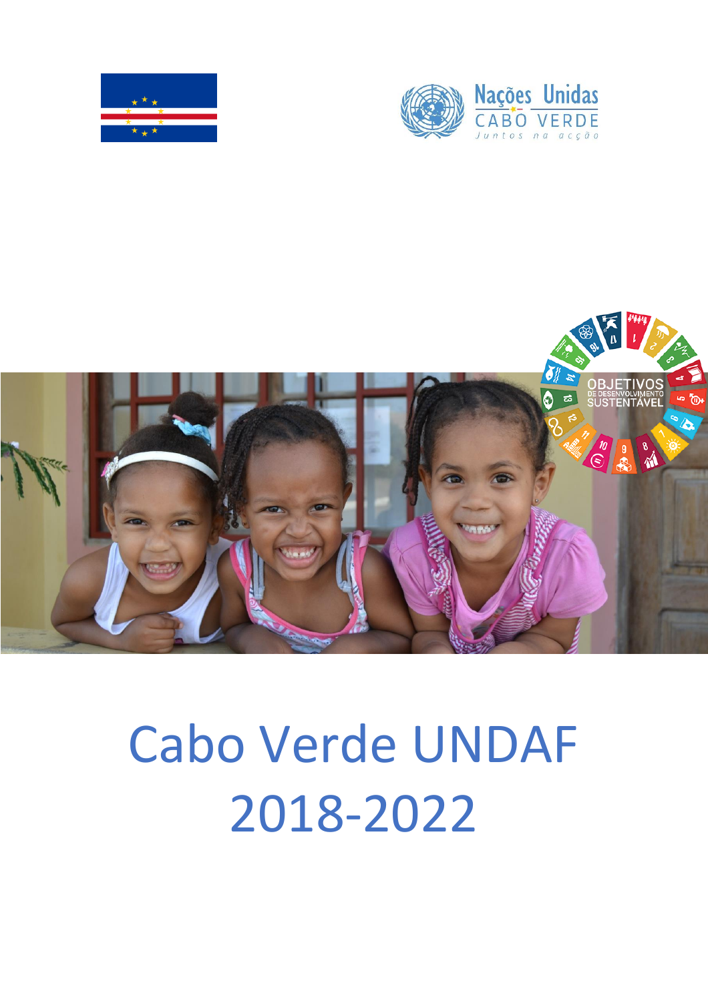





# Cabo Verde UNDAF 2018-2022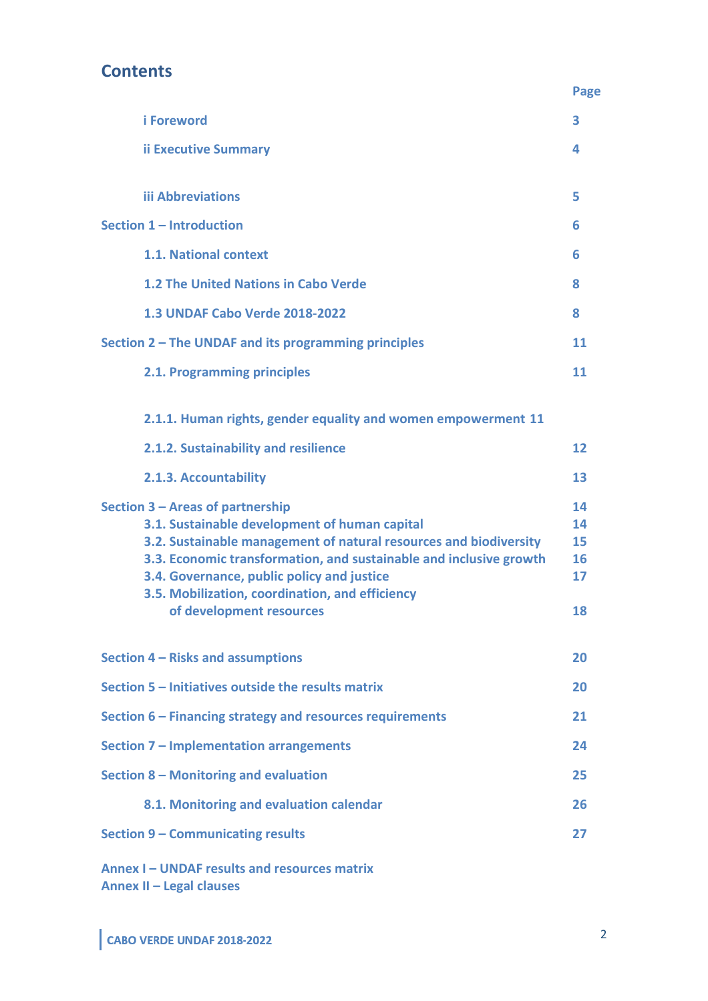# **Contents**

|                                                                                                                                                                                                                                                                                                                                                           | Page                             |
|-----------------------------------------------------------------------------------------------------------------------------------------------------------------------------------------------------------------------------------------------------------------------------------------------------------------------------------------------------------|----------------------------------|
| <i>i</i> Foreword                                                                                                                                                                                                                                                                                                                                         | 3                                |
| <b>ii Executive Summary</b>                                                                                                                                                                                                                                                                                                                               | 4                                |
| <b>iii Abbreviations</b>                                                                                                                                                                                                                                                                                                                                  | 5                                |
| Section 1 - Introduction                                                                                                                                                                                                                                                                                                                                  | 6                                |
| 1.1. National context                                                                                                                                                                                                                                                                                                                                     | 6                                |
| 1.2 The United Nations in Cabo Verde                                                                                                                                                                                                                                                                                                                      | 8                                |
| 1.3 UNDAF Cabo Verde 2018-2022                                                                                                                                                                                                                                                                                                                            | 8                                |
| Section 2 – The UNDAF and its programming principles                                                                                                                                                                                                                                                                                                      | 11                               |
| 2.1. Programming principles                                                                                                                                                                                                                                                                                                                               | 11                               |
| 2.1.1. Human rights, gender equality and women empowerment 11                                                                                                                                                                                                                                                                                             |                                  |
| 2.1.2. Sustainability and resilience                                                                                                                                                                                                                                                                                                                      | 12                               |
| 2.1.3. Accountability                                                                                                                                                                                                                                                                                                                                     | 13                               |
| Section 3 - Areas of partnership<br>3.1. Sustainable development of human capital<br>3.2. Sustainable management of natural resources and biodiversity<br>3.3. Economic transformation, and sustainable and inclusive growth<br>3.4. Governance, public policy and justice<br>3.5. Mobilization, coordination, and efficiency<br>of development resources | 14<br>14<br>15<br>16<br>17<br>18 |
| Section 4 - Risks and assumptions                                                                                                                                                                                                                                                                                                                         | 20                               |
| Section 5 - Initiatives outside the results matrix                                                                                                                                                                                                                                                                                                        | 20                               |
| Section 6 – Financing strategy and resources requirements                                                                                                                                                                                                                                                                                                 | 21                               |
| Section 7 - Implementation arrangements                                                                                                                                                                                                                                                                                                                   | 24                               |
| Section 8 - Monitoring and evaluation                                                                                                                                                                                                                                                                                                                     | 25                               |
| 8.1. Monitoring and evaluation calendar                                                                                                                                                                                                                                                                                                                   | 26                               |
| Section 9 - Communicating results                                                                                                                                                                                                                                                                                                                         | 27                               |
| Annex I - UNDAF results and resources matrix                                                                                                                                                                                                                                                                                                              |                                  |

**Annex II – Legal clauses**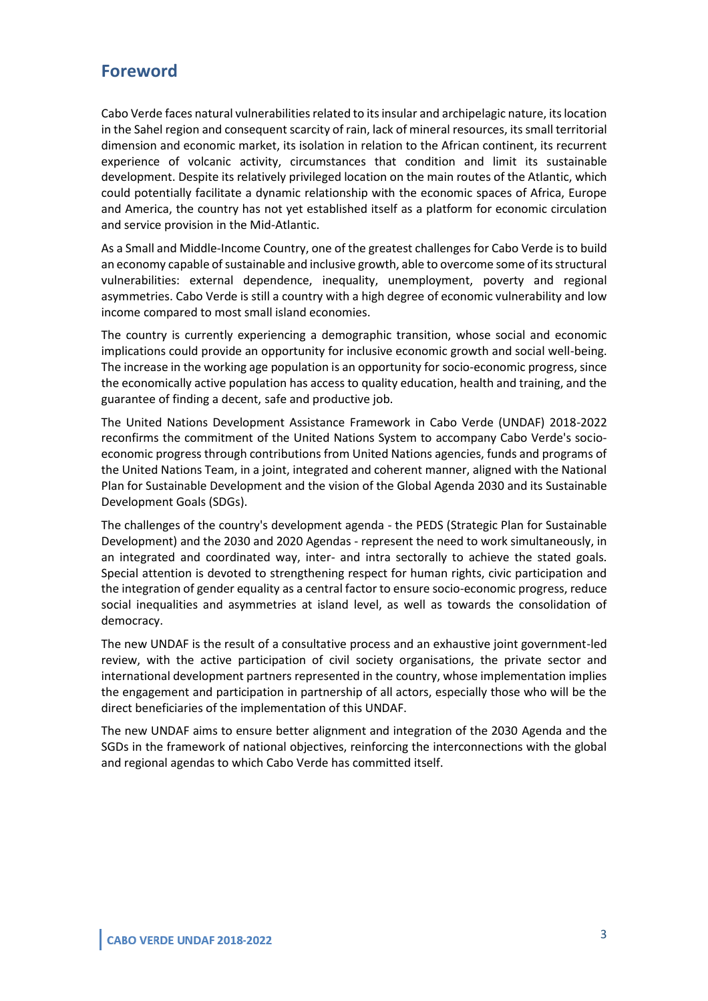## **Foreword**

Cabo Verde faces natural vulnerabilities related to its insular and archipelagic nature, its location in the Sahel region and consequent scarcity of rain, lack of mineral resources, its small territorial dimension and economic market, its isolation in relation to the African continent, its recurrent experience of volcanic activity, circumstances that condition and limit its sustainable development. Despite its relatively privileged location on the main routes of the Atlantic, which could potentially facilitate a dynamic relationship with the economic spaces of Africa, Europe and America, the country has not yet established itself as a platform for economic circulation and service provision in the Mid-Atlantic.

As a Small and Middle-Income Country, one of the greatest challenges for Cabo Verde is to build an economy capable of sustainable and inclusive growth, able to overcome some of its structural vulnerabilities: external dependence, inequality, unemployment, poverty and regional asymmetries. Cabo Verde is still a country with a high degree of economic vulnerability and low income compared to most small island economies.

The country is currently experiencing a demographic transition, whose social and economic implications could provide an opportunity for inclusive economic growth and social well-being. The increase in the working age population is an opportunity for socio-economic progress, since the economically active population has access to quality education, health and training, and the guarantee of finding a decent, safe and productive job.

The United Nations Development Assistance Framework in Cabo Verde (UNDAF) 2018-2022 reconfirms the commitment of the United Nations System to accompany Cabo Verde's socioeconomic progress through contributions from United Nations agencies, funds and programs of the United Nations Team, in a joint, integrated and coherent manner, aligned with the National Plan for Sustainable Development and the vision of the Global Agenda 2030 and its Sustainable Development Goals (SDGs).

The challenges of the country's development agenda - the PEDS (Strategic Plan for Sustainable Development) and the 2030 and 2020 Agendas - represent the need to work simultaneously, in an integrated and coordinated way, inter- and intra sectorally to achieve the stated goals. Special attention is devoted to strengthening respect for human rights, civic participation and the integration of gender equality as a central factor to ensure socio-economic progress, reduce social inequalities and asymmetries at island level, as well as towards the consolidation of democracy.

The new UNDAF is the result of a consultative process and an exhaustive joint government-led review, with the active participation of civil society organisations, the private sector and international development partners represented in the country, whose implementation implies the engagement and participation in partnership of all actors, especially those who will be the direct beneficiaries of the implementation of this UNDAF.

The new UNDAF aims to ensure better alignment and integration of the 2030 Agenda and the SGDs in the framework of national objectives, reinforcing the interconnections with the global and regional agendas to which Cabo Verde has committed itself.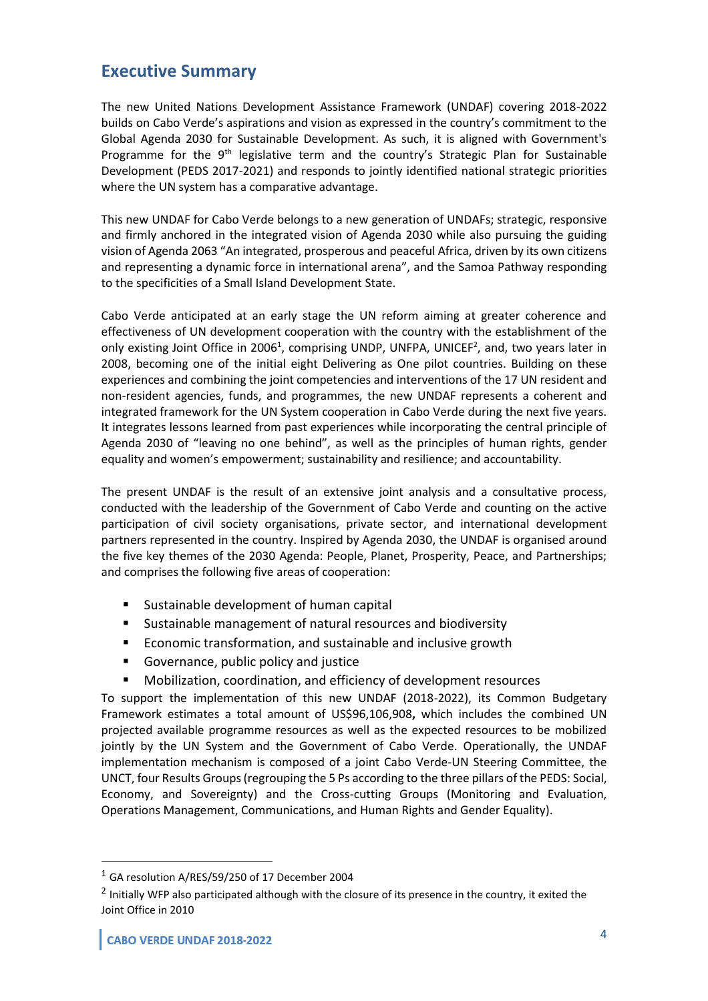## **Executive Summary**

The new United Nations Development Assistance Framework (UNDAF) covering 2018-2022 builds on Cabo Verde's aspirations and vision as expressed in the country's commitment to the Global Agenda 2030 for Sustainable Development. As such, it is aligned with Government's Programme for the  $9<sup>th</sup>$  legislative term and the country's Strategic Plan for Sustainable Development (PEDS 2017-2021) and responds to jointly identified national strategic priorities where the UN system has a comparative advantage.

This new UNDAF for Cabo Verde belongs to a new generation of UNDAFs; strategic, responsive and firmly anchored in the integrated vision of Agenda 2030 while also pursuing the guiding vision of Agenda 2063 "An integrated, prosperous and peaceful Africa, driven by its own citizens and representing a dynamic force in international arena", and the Samoa Pathway responding to the specificities of a Small Island Development State.

Cabo Verde anticipated at an early stage the UN reform aiming at greater coherence and effectiveness of UN development cooperation with the country with the establishment of the only existing Joint Office in 2006<sup>1</sup>, comprising UNDP, UNFPA, UNICEF<sup>2</sup>, and, two years later in 2008, becoming one of the initial eight Delivering as One pilot countries. Building on these experiences and combining the joint competencies and interventions of the 17 UN resident and non-resident agencies, funds, and programmes, the new UNDAF represents a coherent and integrated framework for the UN System cooperation in Cabo Verde during the next five years. It integrates lessons learned from past experiences while incorporating the central principle of Agenda 2030 of "leaving no one behind", as well as the principles of human rights, gender equality and women's empowerment; sustainability and resilience; and accountability.

The present UNDAF is the result of an extensive joint analysis and a consultative process, conducted with the leadership of the Government of Cabo Verde and counting on the active participation of civil society organisations, private sector, and international development partners represented in the country. Inspired by Agenda 2030, the UNDAF is organised around the five key themes of the 2030 Agenda: People, Planet, Prosperity, Peace, and Partnerships; and comprises the following five areas of cooperation:

- Sustainable development of human capital
- Sustainable management of natural resources and biodiversity
- Economic transformation, and sustainable and inclusive growth
- Governance, public policy and justice
- Mobilization, coordination, and efficiency of development resources

To support the implementation of this new UNDAF (2018-2022), its Common Budgetary Framework estimates a total amount of US\$96,106,908**,** which includes the combined UN projected available programme resources as well as the expected resources to be mobilized jointly by the UN System and the Government of Cabo Verde. Operationally, the UNDAF implementation mechanism is composed of a joint Cabo Verde-UN Steering Committee, the UNCT, four Results Groups (regrouping the 5 Ps according to the three pillars of the PEDS: Social, Economy, and Sovereignty) and the Cross-cutting Groups (Monitoring and Evaluation, Operations Management, Communications, and Human Rights and Gender Equality).

 $1$  GA resolution A/RES/59/250 of 17 December 2004

<sup>&</sup>lt;sup>2</sup> Initially WFP also participated although with the closure of its presence in the country, it exited the Joint Office in 2010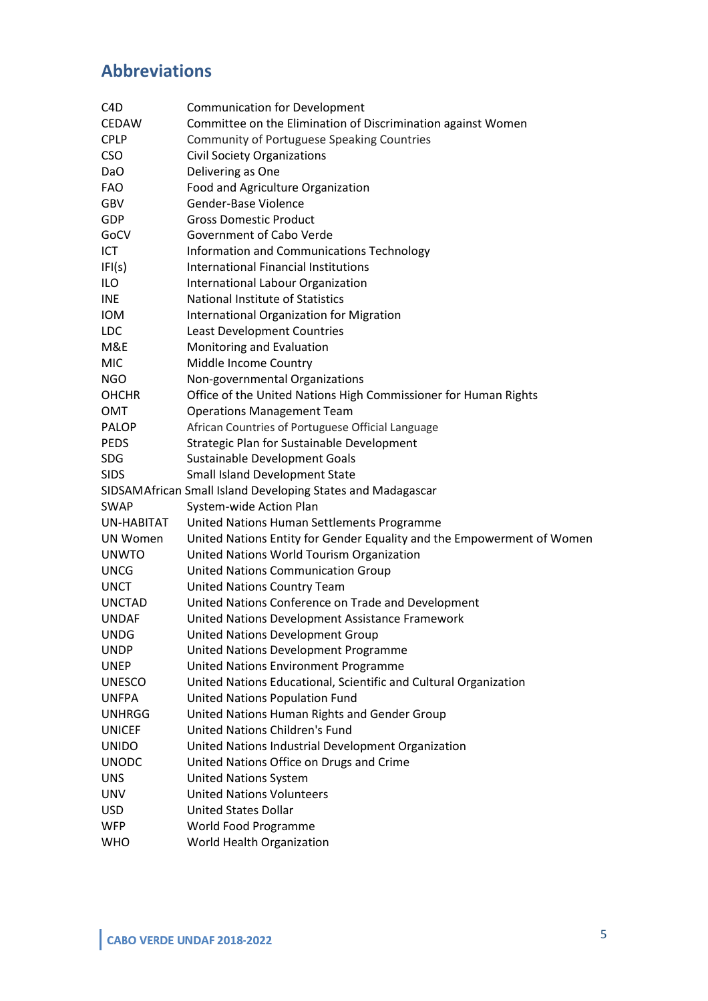# **Abbreviations**

| C <sub>4</sub> D | <b>Communication for Development</b>                                   |
|------------------|------------------------------------------------------------------------|
| <b>CEDAW</b>     | Committee on the Elimination of Discrimination against Women           |
| <b>CPLP</b>      | <b>Community of Portuguese Speaking Countries</b>                      |
| <b>CSO</b>       | <b>Civil Society Organizations</b>                                     |
| Da <sub>O</sub>  | Delivering as One                                                      |
| <b>FAO</b>       | Food and Agriculture Organization                                      |
| GBV              | Gender-Base Violence                                                   |
| <b>GDP</b>       | <b>Gross Domestic Product</b>                                          |
| GoCV             | Government of Cabo Verde                                               |
| ICT              | Information and Communications Technology                              |
| IFI(s)           | International Financial Institutions                                   |
| <b>ILO</b>       | International Labour Organization                                      |
| <b>INE</b>       | National Institute of Statistics                                       |
| <b>IOM</b>       | International Organization for Migration                               |
| <b>LDC</b>       | Least Development Countries                                            |
| M&E              | Monitoring and Evaluation                                              |
| MIC              | Middle Income Country                                                  |
| <b>NGO</b>       | Non-governmental Organizations                                         |
| <b>OHCHR</b>     | Office of the United Nations High Commissioner for Human Rights        |
| OMT              | <b>Operations Management Team</b>                                      |
| <b>PALOP</b>     | African Countries of Portuguese Official Language                      |
| <b>PEDS</b>      | Strategic Plan for Sustainable Development                             |
| <b>SDG</b>       | Sustainable Development Goals                                          |
| <b>SIDS</b>      | Small Island Development State                                         |
|                  | SIDSAMAfrican Small Island Developing States and Madagascar            |
| <b>SWAP</b>      | System-wide Action Plan                                                |
| UN-HABITAT       | United Nations Human Settlements Programme                             |
| UN Women         | United Nations Entity for Gender Equality and the Empowerment of Women |
| <b>UNWTO</b>     | United Nations World Tourism Organization                              |
| <b>UNCG</b>      | United Nations Communication Group                                     |
| <b>UNCT</b>      | <b>United Nations Country Team</b>                                     |
| <b>UNCTAD</b>    | United Nations Conference on Trade and Development                     |
| <b>UNDAF</b>     | United Nations Development Assistance Framework                        |
| <b>UNDG</b>      | United Nations Development Group                                       |
| <b>UNDP</b>      | United Nations Development Programme                                   |
| <b>UNEP</b>      | United Nations Environment Programme                                   |
| <b>UNESCO</b>    | United Nations Educational, Scientific and Cultural Organization       |
| <b>UNFPA</b>     | <b>United Nations Population Fund</b>                                  |
| <b>UNHRGG</b>    | United Nations Human Rights and Gender Group                           |
| <b>UNICEF</b>    | United Nations Children's Fund                                         |
| <b>UNIDO</b>     | United Nations Industrial Development Organization                     |
| <b>UNODC</b>     | United Nations Office on Drugs and Crime                               |
| <b>UNS</b>       | <b>United Nations System</b>                                           |
| <b>UNV</b>       | <b>United Nations Volunteers</b>                                       |
| <b>USD</b>       | <b>United States Dollar</b>                                            |
| <b>WFP</b>       | World Food Programme                                                   |
| <b>WHO</b>       | World Health Organization                                              |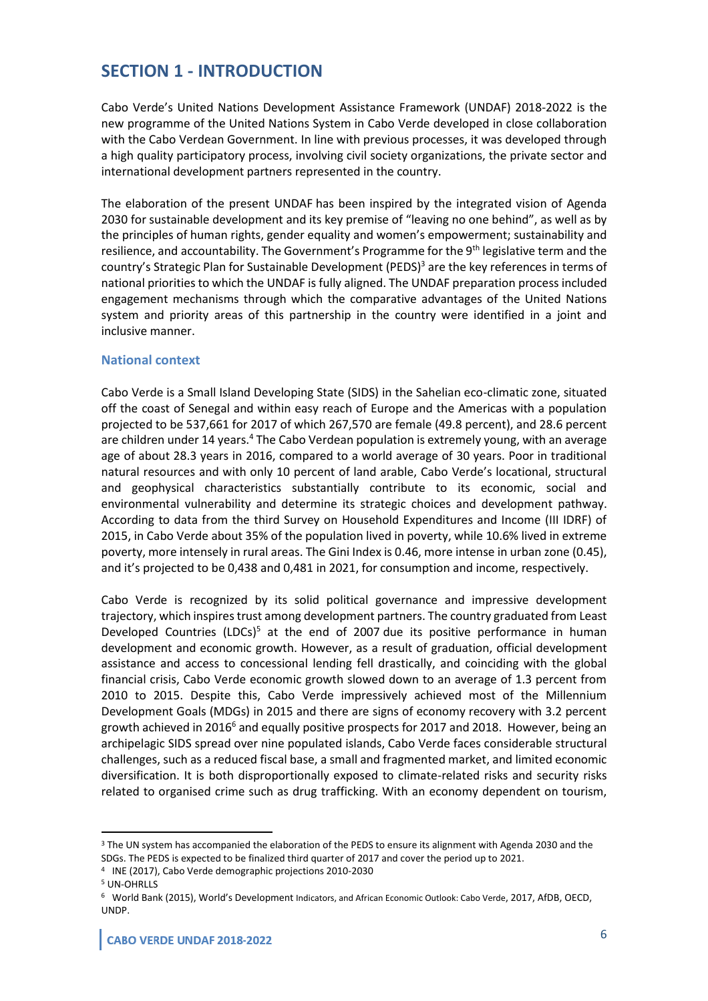# **SECTION 1 - INTRODUCTION**

Cabo Verde's United Nations Development Assistance Framework (UNDAF) 2018-2022 is the new programme of the United Nations System in Cabo Verde developed in close collaboration with the Cabo Verdean Government. In line with previous processes, it was developed through a high quality participatory process, involving civil society organizations, the private sector and international development partners represented in the country.

The elaboration of the present UNDAF has been inspired by the integrated vision of Agenda 2030 for sustainable development and its key premise of "leaving no one behind", as well as by the principles of human rights, gender equality and women's empowerment; sustainability and resilience, and accountability. The Government's Programme for the 9th legislative term and the country's Strategic Plan for Sustainable Development (PEDS)<sup>3</sup> are the key references in terms of national priorities to which the UNDAF is fully aligned. The UNDAF preparation process included engagement mechanisms through which the comparative advantages of the United Nations system and priority areas of this partnership in the country were identified in a joint and inclusive manner.

#### **National context**

Cabo Verde is a Small Island Developing State (SIDS) in the Sahelian eco-climatic zone, situated off the coast of Senegal and within easy reach of Europe and the Americas with a population projected to be 537,661 for 2017 of which 267,570 are female (49.8 percent), and 28.6 percent are children under 14 years.<sup>4</sup> The Cabo Verdean population is extremely young, with an average age of about 28.3 years in 2016, compared to a world average of 30 years. Poor in traditional natural resources and with only 10 percent of land arable, Cabo Verde's locational, structural and geophysical characteristics substantially contribute to its economic, social and environmental vulnerability and determine its strategic choices and development pathway. According to data from the third Survey on Household Expenditures and Income (III IDRF) of 2015, in Cabo Verde about 35% of the population lived in poverty, while 10.6% lived in extreme poverty, more intensely in rural areas. The Gini Index is 0.46, more intense in urban zone (0.45), and it's projected to be 0,438 and 0,481 in 2021, for consumption and income, respectively.

Cabo Verde is recognized by its solid political governance and impressive development trajectory, which inspires trust among development partners. The country graduated from Least Developed Countries (LDCs)<sup>5</sup> at the end of 2007 due its positive performance in human development and economic growth. However, as a result of graduation, official development assistance and access to concessional lending fell drastically, and coinciding with the global financial crisis, Cabo Verde economic growth slowed down to an average of 1.3 percent from 2010 to 2015. Despite this, Cabo Verde impressively achieved most of the Millennium Development Goals (MDGs) in 2015 and there are signs of economy recovery with 3.2 percent growth achieved in 2016<sup>6</sup> and equally positive prospects for 2017 and 2018. However, being an archipelagic SIDS spread over nine populated islands, Cabo Verde faces considerable structural challenges, such as a reduced fiscal base, a small and fragmented market, and limited economic diversification. It is both disproportionally exposed to climate-related risks and security risks related to organised crime such as drug trafficking. With an economy dependent on tourism,

<sup>&</sup>lt;sup>3</sup> The UN system has accompanied the elaboration of the PEDS to ensure its alignment with Agenda 2030 and the SDGs. The PEDS is expected to be finalized third quarter of 2017 and cover the period up to 2021.

<sup>4</sup> INE (2017), Cabo Verde demographic projections 2010-2030

<sup>5</sup> UN-OHRLLS

<sup>6</sup> World Bank (2015), World's Development Indicators, and African Economic Outlook: Cabo Verde, 2017, AfDB, OECD, UNDP.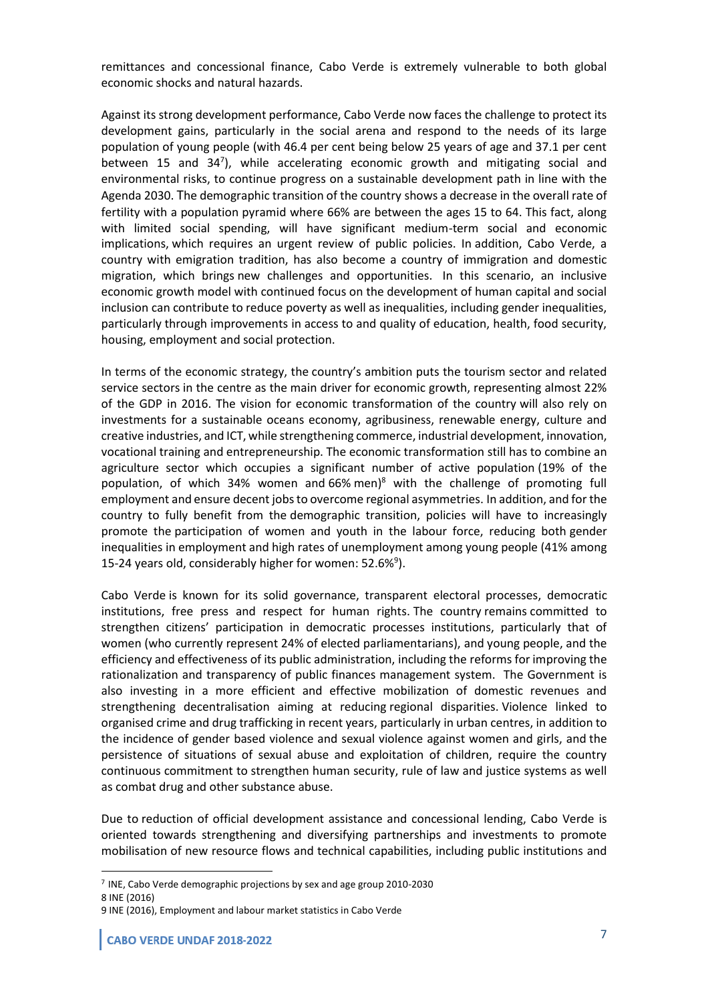remittances and concessional finance, Cabo Verde is extremely vulnerable to both global economic shocks and natural hazards.

Against its strong development performance, Cabo Verde now faces the challenge to protect its development gains, particularly in the social arena and respond to the needs of its large population of young people (with 46.4 per cent being below 25 years of age and 37.1 per cent between 15 and 34<sup>7</sup>), while accelerating economic growth and mitigating social and environmental risks, to continue progress on a sustainable development path in line with the Agenda 2030. The demographic transition of the country shows a decrease in the overall rate of fertility with a population pyramid where 66% are between the ages 15 to 64. This fact, along with limited social spending, will have significant medium-term social and economic implications, which requires an urgent review of public policies. In addition, Cabo Verde, a country with emigration tradition, has also become a country of immigration and domestic migration, which brings new challenges and opportunities. In this scenario, an inclusive economic growth model with continued focus on the development of human capital and social inclusion can contribute to reduce poverty as well as inequalities, including gender inequalities, particularly through improvements in access to and quality of education, health, food security, housing, employment and social protection.

In terms of the economic strategy, the country's ambition puts the tourism sector and related service sectors in the centre as the main driver for economic growth, representing almost 22% of the GDP in 2016. The vision for economic transformation of the country will also rely on investments for a sustainable oceans economy, agribusiness, renewable energy, culture and creative industries, and ICT, while strengthening commerce, industrial development, innovation, vocational training and entrepreneurship. The economic transformation still has to combine an agriculture sector which occupies a significant number of active population (19% of the population, of which 34% women and  $66\%$  men)<sup>8</sup> with the challenge of promoting full employment and ensure decent jobs to overcome regional asymmetries. In addition, and for the country to fully benefit from the demographic transition, policies will have to increasingly promote the participation of women and youth in the labour force, reducing both gender inequalities in employment and high rates of unemployment among young people (41% among 15-24 years old, considerably higher for women: 52.6%<sup>9</sup>).

Cabo Verde is known for its solid governance, transparent electoral processes, democratic institutions, free press and respect for human rights. The country remains committed to strengthen citizens' participation in democratic processes institutions, particularly that of women (who currently represent 24% of elected parliamentarians), and young people, and the efficiency and effectiveness of its public administration, including the reforms for improving the rationalization and transparency of public finances management system. The Government is also investing in a more efficient and effective mobilization of domestic revenues and strengthening decentralisation aiming at reducing regional disparities. Violence linked to organised crime and drug trafficking in recent years, particularly in urban centres, in addition to the incidence of gender based violence and sexual violence against women and girls, and the persistence of situations of sexual abuse and exploitation of children, require the country continuous commitment to strengthen human security, rule of law and justice systems as well as combat drug and other substance abuse.

Due to reduction of official development assistance and concessional lending, Cabo Verde is oriented towards strengthening and diversifying partnerships and investments to promote mobilisation of new resource flows and technical capabilities, including public institutions and

<sup>7</sup> INE, Cabo Verde demographic projections by sex and age group 2010-2030

<sup>8</sup> INE (2016)

<sup>9</sup> INE (2016), Employment and labour market statistics in Cabo Verde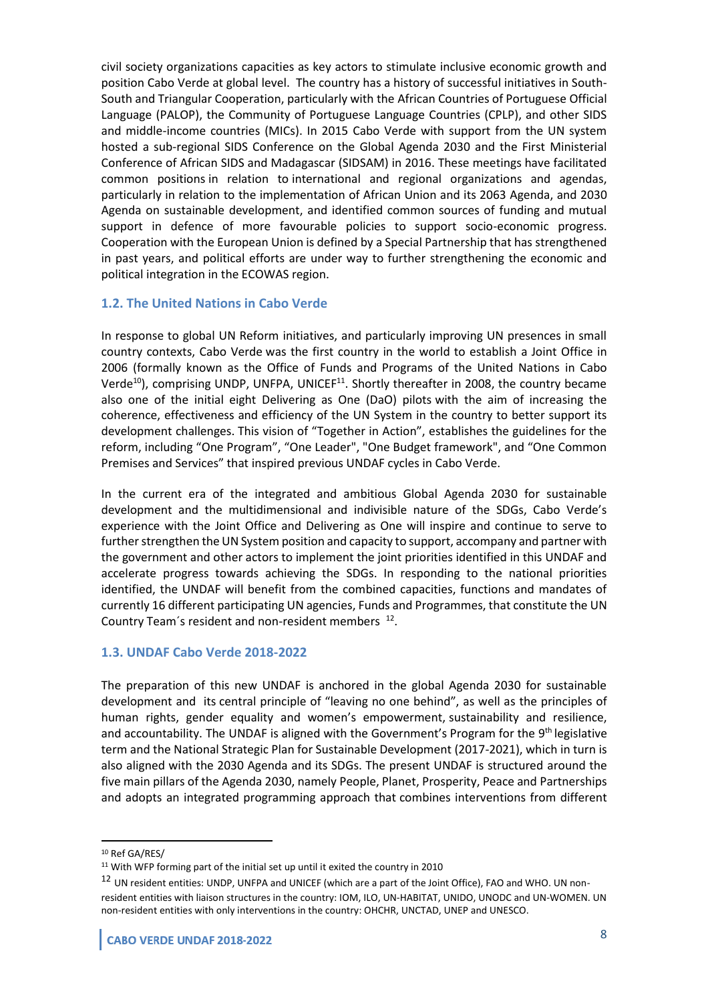civil society organizations capacities as key actors to stimulate inclusive economic growth and position Cabo Verde at global level. The country has a history of successful initiatives in South-South and Triangular Cooperation, particularly with the African Countries of Portuguese Official Language (PALOP), the Community of Portuguese Language Countries (CPLP), and other SIDS and middle-income countries (MICs). In 2015 Cabo Verde with support from the UN system hosted a sub-regional SIDS Conference on the Global Agenda 2030 and the First Ministerial Conference of African SIDS and Madagascar (SIDSAM) in 2016. These meetings have facilitated common positions in relation to international and regional organizations and agendas, particularly in relation to the implementation of African Union and its 2063 Agenda, and 2030 Agenda on sustainable development, and identified common sources of funding and mutual support in defence of more favourable policies to support socio-economic progress. Cooperation with the European Union is defined by a Special Partnership that has strengthened in past years, and political efforts are under way to further strengthening the economic and political integration in the ECOWAS region.

#### **1.2. The United Nations in Cabo Verde**

In response to global UN Reform initiatives, and particularly improving UN presences in small country contexts, Cabo Verde was the first country in the world to establish a Joint Office in 2006 (formally known as the Office of Funds and Programs of the United Nations in Cabo Verde<sup>10</sup>), comprising UNDP, UNFPA, UNICEF<sup>11</sup>. Shortly thereafter in 2008, the country became also one of the initial eight Delivering as One (DaO) pilots with the aim of increasing the coherence, effectiveness and efficiency of the UN System in the country to better support its development challenges. This vision of "Together in Action", establishes the guidelines for the reform, including "One Program", "One Leader", "One Budget framework", and "One Common Premises and Services" that inspired previous UNDAF cycles in Cabo Verde.

In the current era of the integrated and ambitious Global Agenda 2030 for sustainable development and the multidimensional and indivisible nature of the SDGs, Cabo Verde's experience with the Joint Office and Delivering as One will inspire and continue to serve to further strengthen the UN System position and capacity to support, accompany and partner with the government and other actors to implement the joint priorities identified in this UNDAF and accelerate progress towards achieving the SDGs. In responding to the national priorities identified, the UNDAF will benefit from the combined capacities, functions and mandates of currently 16 different participating UN agencies, Funds and Programmes, that constitute the UN Country Team's resident and non-resident members  $12$ .

#### **1.3. UNDAF Cabo Verde 2018-2022**

The preparation of this new UNDAF is anchored in the global Agenda 2030 for sustainable development and its central principle of "leaving no one behind", as well as the principles of human rights, gender equality and women's empowerment, sustainability and resilience, and accountability. The UNDAF is aligned with the Government's Program for the 9<sup>th</sup> legislative term and the National Strategic Plan for Sustainable Development (2017-2021), which in turn is also aligned with the 2030 Agenda and its SDGs. The present UNDAF is structured around the five main pillars of the Agenda 2030, namely People, Planet, Prosperity, Peace and Partnerships and adopts an integrated programming approach that combines interventions from different

<sup>10</sup> Ref GA/RES/

<sup>11</sup> With WFP forming part of the initial set up until it exited the country in 2010

<sup>&</sup>lt;sup>12</sup> UN resident entities: UNDP, UNFPA and UNICEF (which are a part of the Joint Office), FAO and WHO. UN nonresident entities with liaison structures in the country: IOM, ILO, UN-HABITAT, UNIDO, UNODC and UN-WOMEN. UN non-resident entities with only interventions in the country: OHCHR, UNCTAD, UNEP and UNESCO.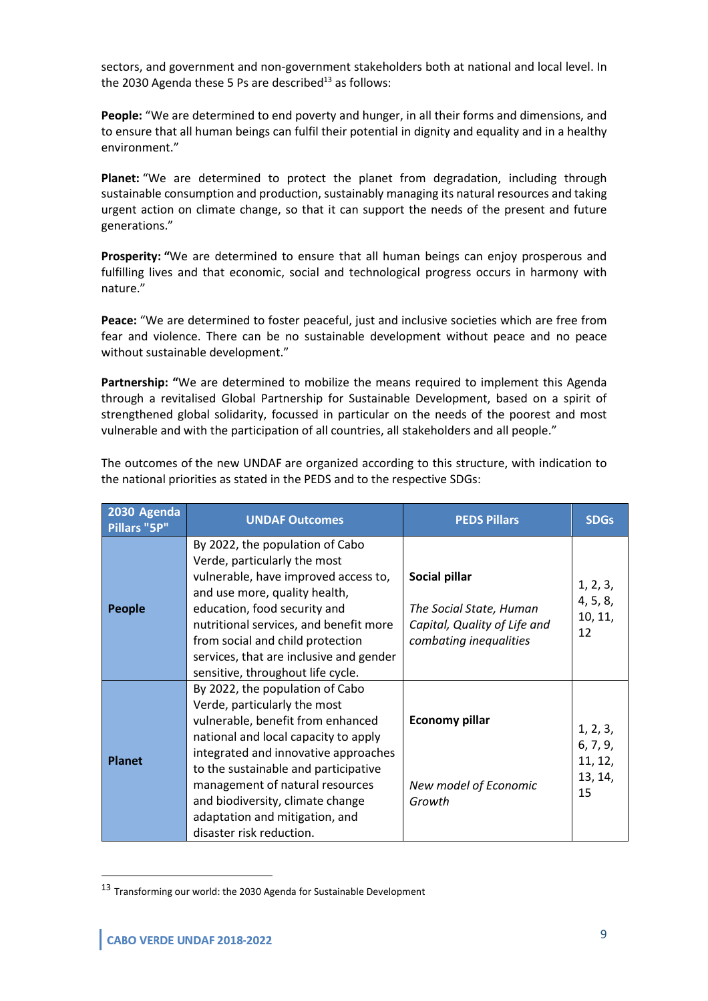sectors, and government and non-government stakeholders both at national and local level. In the 2030 Agenda these 5 Ps are described<sup>13</sup> as follows:

**People:** "We are determined to end poverty and hunger, in all their forms and dimensions, and to ensure that all human beings can fulfil their potential in dignity and equality and in a healthy environment."

**Planet:** "We are determined to protect the planet from degradation, including through sustainable consumption and production, sustainably managing its natural resources and taking urgent action on climate change, so that it can support the needs of the present and future generations."

**Prosperity: "**We are determined to ensure that all human beings can enjoy prosperous and fulfilling lives and that economic, social and technological progress occurs in harmony with nature."

**Peace:** "We are determined to foster peaceful, just and inclusive societies which are free from fear and violence. There can be no sustainable development without peace and no peace without sustainable development."

**Partnership: "**We are determined to mobilize the means required to implement this Agenda through a revitalised Global Partnership for Sustainable Development, based on a spirit of strengthened global solidarity, focussed in particular on the needs of the poorest and most vulnerable and with the participation of all countries, all stakeholders and all people."

| 2030 Agenda<br>Pillars "5P" | <b>UNDAF Outcomes</b>                                                                                                                                                                                                                                                                                                                                             | <b>PEDS Pillars</b>                                                                                | <b>SDGs</b>                                      |
|-----------------------------|-------------------------------------------------------------------------------------------------------------------------------------------------------------------------------------------------------------------------------------------------------------------------------------------------------------------------------------------------------------------|----------------------------------------------------------------------------------------------------|--------------------------------------------------|
| <b>People</b>               | By 2022, the population of Cabo<br>Verde, particularly the most<br>vulnerable, have improved access to,<br>and use more, quality health,<br>education, food security and<br>nutritional services, and benefit more<br>from social and child protection<br>services, that are inclusive and gender<br>sensitive, throughout life cycle.                            | Social pillar<br>The Social State, Human<br>Capital, Quality of Life and<br>combating inequalities | 1, 2, 3,<br>4, 5, 8,<br>10, 11,<br>12            |
| <b>Planet</b>               | By 2022, the population of Cabo<br>Verde, particularly the most<br>vulnerable, benefit from enhanced<br>national and local capacity to apply<br>integrated and innovative approaches<br>to the sustainable and participative<br>management of natural resources<br>and biodiversity, climate change<br>adaptation and mitigation, and<br>disaster risk reduction. | <b>Economy pillar</b><br>New model of Economic<br>Growth                                           | 1, 2, 3,<br>6, 7, 9,<br>11, 12,<br>13, 14,<br>15 |

The outcomes of the new UNDAF are organized according to this structure, with indication to the national priorities as stated in the PEDS and to the respective SDGs:

<sup>13</sup> Transforming our world: the 2030 Agenda for Sustainable Development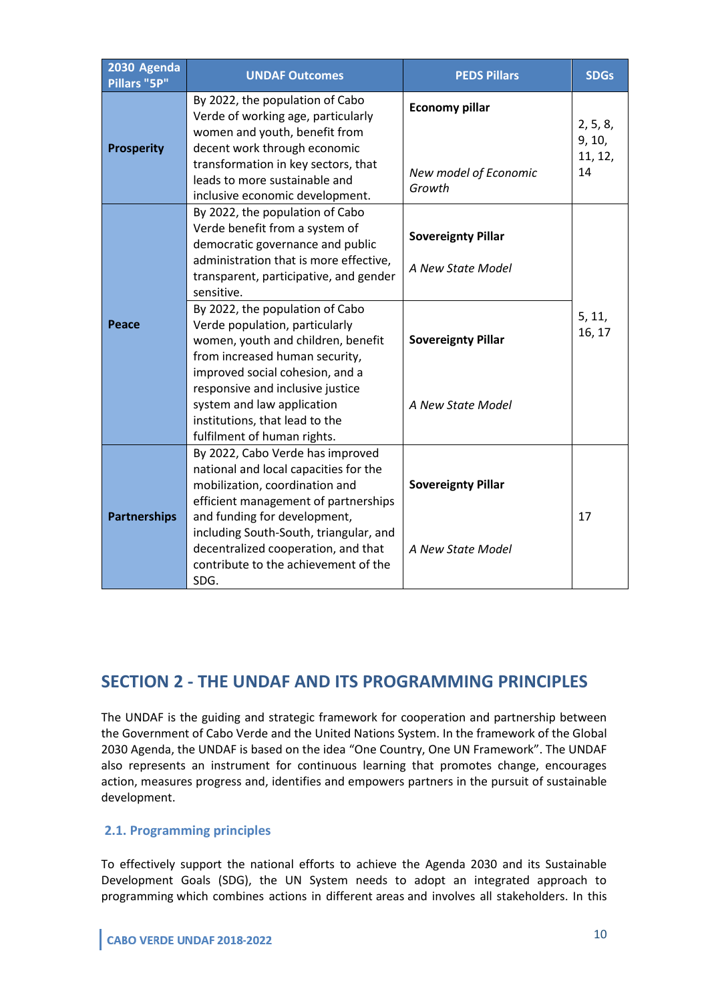| 2030 Agenda<br>Pillars "5P" | <b>UNDAF Outcomes</b>                                                                                                                                                                                                                                                                                                                               | <b>PEDS Pillars</b>                                      | <b>SDGs</b>                         |
|-----------------------------|-----------------------------------------------------------------------------------------------------------------------------------------------------------------------------------------------------------------------------------------------------------------------------------------------------------------------------------------------------|----------------------------------------------------------|-------------------------------------|
| <b>Prosperity</b>           | By 2022, the population of Cabo<br>Verde of working age, particularly<br>women and youth, benefit from<br>decent work through economic<br>transformation in key sectors, that<br>leads to more sustainable and<br>inclusive economic development.                                                                                                   | <b>Economy pillar</b><br>New model of Economic<br>Growth | 2, 5, 8,<br>9, 10,<br>11, 12,<br>14 |
|                             | By 2022, the population of Cabo<br>Verde benefit from a system of<br>democratic governance and public<br>administration that is more effective,<br>transparent, participative, and gender<br>sensitive.                                                                                                                                             | <b>Sovereignty Pillar</b><br>A New State Model           |                                     |
| Peace                       | By 2022, the population of Cabo<br>Verde population, particularly<br>women, youth and children, benefit<br>from increased human security,<br>improved social cohesion, and a<br>responsive and inclusive justice<br>system and law application<br>institutions, that lead to the                                                                    | <b>Sovereignty Pillar</b><br>A New State Model           | 5, 11,<br>16, 17                    |
| <b>Partnerships</b>         | fulfilment of human rights.<br>By 2022, Cabo Verde has improved<br>national and local capacities for the<br>mobilization, coordination and<br>efficient management of partnerships<br>and funding for development,<br>including South-South, triangular, and<br>decentralized cooperation, and that<br>contribute to the achievement of the<br>SDG. | <b>Sovereignty Pillar</b><br>A New State Model           | 17                                  |

# **SECTION 2 - THE UNDAF AND ITS PROGRAMMING PRINCIPLES**

The UNDAF is the guiding and strategic framework for cooperation and partnership between the Government of Cabo Verde and the United Nations System. In the framework of the Global 2030 Agenda, the UNDAF is based on the idea "One Country, One UN Framework". The UNDAF also represents an instrument for continuous learning that promotes change, encourages action, measures progress and, identifies and empowers partners in the pursuit of sustainable development.

#### **2.1. Programming principles**

To effectively support the national efforts to achieve the Agenda 2030 and its Sustainable Development Goals (SDG), the UN System needs to adopt an integrated approach to programming which combines actions in different areas and involves all stakeholders. In this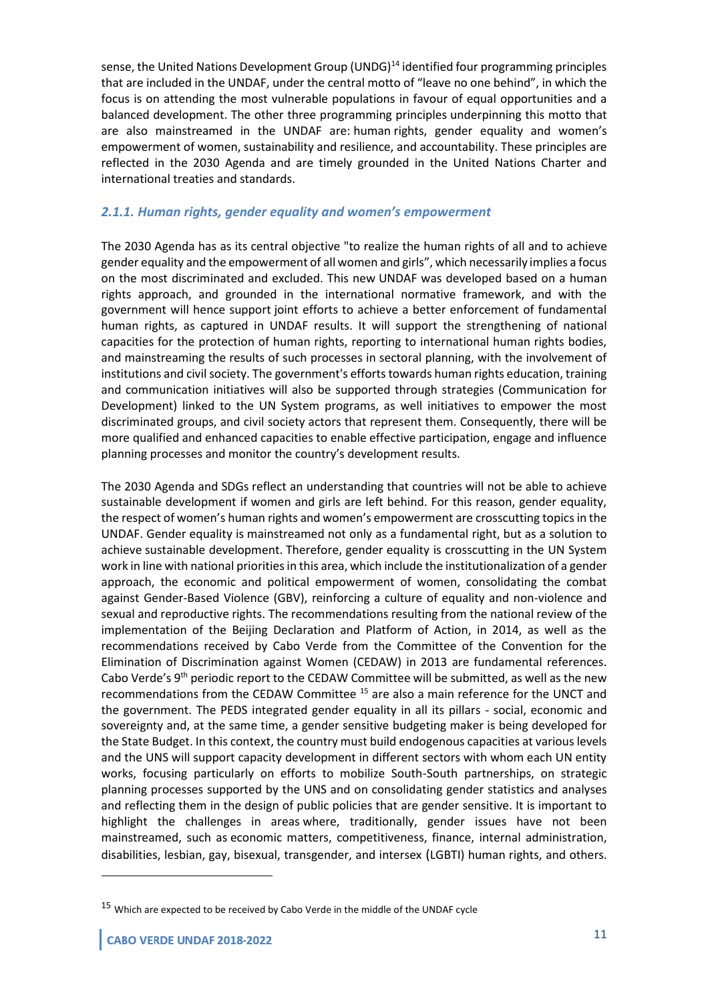sense, the United Nations Development Group (UNDG)<sup>14</sup> identified four programming principles that are included in the UNDAF, under the central motto of "leave no one behind", in which the focus is on attending the most vulnerable populations in favour of equal opportunities and a balanced development. The other three programming principles underpinning this motto that are also mainstreamed in the UNDAF are: human rights, gender equality and women's empowerment of women, sustainability and resilience, and accountability. These principles are reflected in the 2030 Agenda and are timely grounded in the United Nations Charter and international treaties and standards.

#### *2.1.1. Human rights, gender equality and women's empowerment*

The 2030 Agenda has as its central objective "to realize the human rights of all and to achieve gender equality and the empowerment of all women and girls", which necessarily implies a focus on the most discriminated and excluded. This new UNDAF was developed based on a human rights approach, and grounded in the international normative framework, and with the government will hence support joint efforts to achieve a better enforcement of fundamental human rights, as captured in UNDAF results. It will support the strengthening of national capacities for the protection of human rights, reporting to international human rights bodies, and mainstreaming the results of such processes in sectoral planning, with the involvement of institutions and civil society. The government's efforts towards human rights education, training and communication initiatives will also be supported through strategies (Communication for Development) linked to the UN System programs, as well initiatives to empower the most discriminated groups, and civil society actors that represent them. Consequently, there will be more qualified and enhanced capacities to enable effective participation, engage and influence planning processes and monitor the country's development results.

The 2030 Agenda and SDGs reflect an understanding that countries will not be able to achieve sustainable development if women and girls are left behind. For this reason, gender equality, the respect of women's human rights and women's empowerment are crosscutting topics in the UNDAF. Gender equality is mainstreamed not only as a fundamental right, but as a solution to achieve sustainable development. Therefore, gender equality is crosscutting in the UN System work in line with national priorities in this area, which include the institutionalization of a gender approach, the economic and political empowerment of women, consolidating the combat against Gender-Based Violence (GBV), reinforcing a culture of equality and non-violence and sexual and reproductive rights. The recommendations resulting from the national review of the implementation of the Beijing Declaration and Platform of Action, in 2014, as well as the recommendations received by Cabo Verde from the Committee of the Convention for the Elimination of Discrimination against Women (CEDAW) in 2013 are fundamental references. Cabo Verde's  $9<sup>th</sup>$  periodic report to the CEDAW Committee will be submitted, as well as the new recommendations from the CEDAW Committee<sup>15</sup> are also a main reference for the UNCT and the government. The PEDS integrated gender equality in all its pillars - social, economic and sovereignty and, at the same time, a gender sensitive budgeting maker is being developed for the State Budget. In this context, the country must build endogenous capacities at various levels and the UNS will support capacity development in different sectors with whom each UN entity works, focusing particularly on efforts to mobilize South-South partnerships, on strategic planning processes supported by the UNS and on consolidating gender statistics and analyses and reflecting them in the design of public policies that are gender sensitive. It is important to highlight the challenges in areas where, traditionally, gender issues have not been mainstreamed, such as economic matters, competitiveness, finance, internal administration, disabilities, lesbian, gay, bisexual, transgender, and intersex (LGBTI) human rights, and others.

<sup>&</sup>lt;sup>15</sup> Which are expected to be received by Cabo Verde in the middle of the UNDAF cycle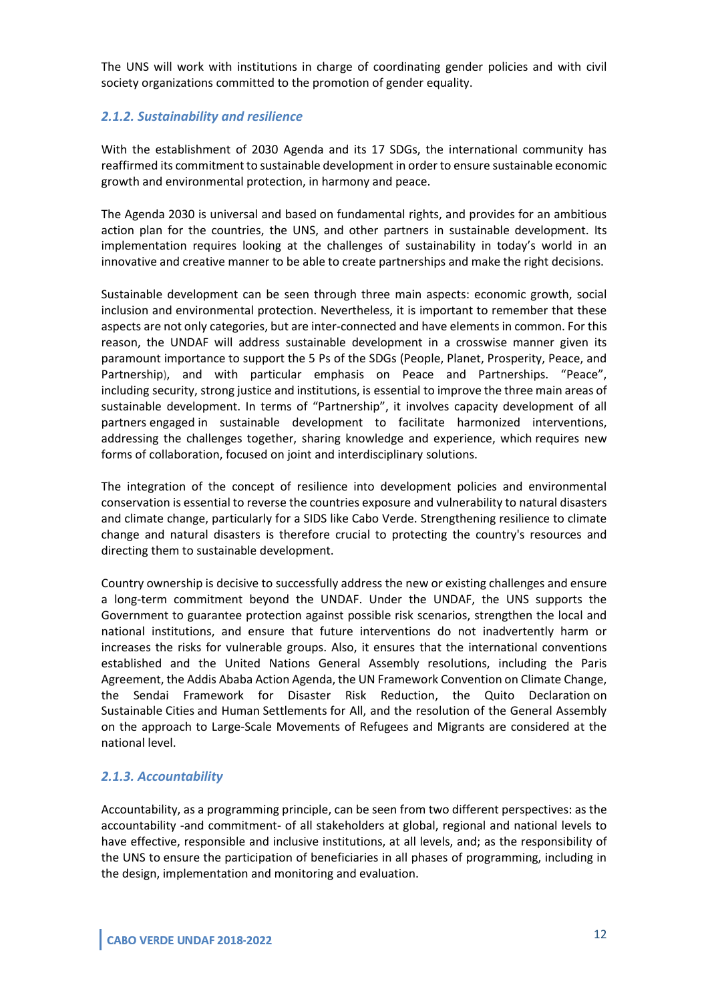The UNS will work with institutions in charge of coordinating gender policies and with civil society organizations committed to the promotion of gender equality.

#### *2.1.2. Sustainability and resilience*

With the establishment of 2030 Agenda and its 17 SDGs, the international community has reaffirmed its commitment to sustainable development in order to ensure sustainable economic growth and environmental protection, in harmony and peace.

The Agenda 2030 is universal and based on fundamental rights, and provides for an ambitious action plan for the countries, the UNS, and other partners in sustainable development. Its implementation requires looking at the challenges of sustainability in today's world in an innovative and creative manner to be able to create partnerships and make the right decisions.

Sustainable development can be seen through three main aspects: economic growth, social inclusion and environmental protection. Nevertheless, it is important to remember that these aspects are not only categories, but are inter-connected and have elements in common. For this reason, the UNDAF will address sustainable development in a crosswise manner given its paramount importance to support the 5 Ps of the SDGs (People, Planet, Prosperity, Peace, and Partnership), and with particular emphasis on Peace and Partnerships. "Peace", including security, strong justice and institutions, is essential to improve the three main areas of sustainable development. In terms of "Partnership", it involves capacity development of all partners engaged in sustainable development to facilitate harmonized interventions, addressing the challenges together, sharing knowledge and experience, which requires new forms of collaboration, focused on joint and interdisciplinary solutions.

The integration of the concept of resilience into development policies and environmental conservation is essential to reverse the countries exposure and vulnerability to natural disasters and climate change, particularly for a SIDS like Cabo Verde. Strengthening resilience to climate change and natural disasters is therefore crucial to protecting the country's resources and directing them to sustainable development.

Country ownership is decisive to successfully address the new or existing challenges and ensure a long-term commitment beyond the UNDAF. Under the UNDAF, the UNS supports the Government to guarantee protection against possible risk scenarios, strengthen the local and national institutions, and ensure that future interventions do not inadvertently harm or increases the risks for vulnerable groups. Also, it ensures that the international conventions established and the United Nations General Assembly resolutions, including the Paris Agreement, the Addis Ababa Action Agenda, the UN Framework Convention on Climate Change, the Sendai Framework for Disaster Risk Reduction, the Quito Declaration on Sustainable Cities and Human Settlements for All, and the resolution of the General Assembly on the approach to Large-Scale Movements of Refugees and Migrants are considered at the national level.

#### *2.1.3. Accountability*

Accountability, as a programming principle, can be seen from two different perspectives: as the accountability -and commitment- of all stakeholders at global, regional and national levels to have effective, responsible and inclusive institutions, at all levels, and; as the responsibility of the UNS to ensure the participation of beneficiaries in all phases of programming, including in the design, implementation and monitoring and evaluation.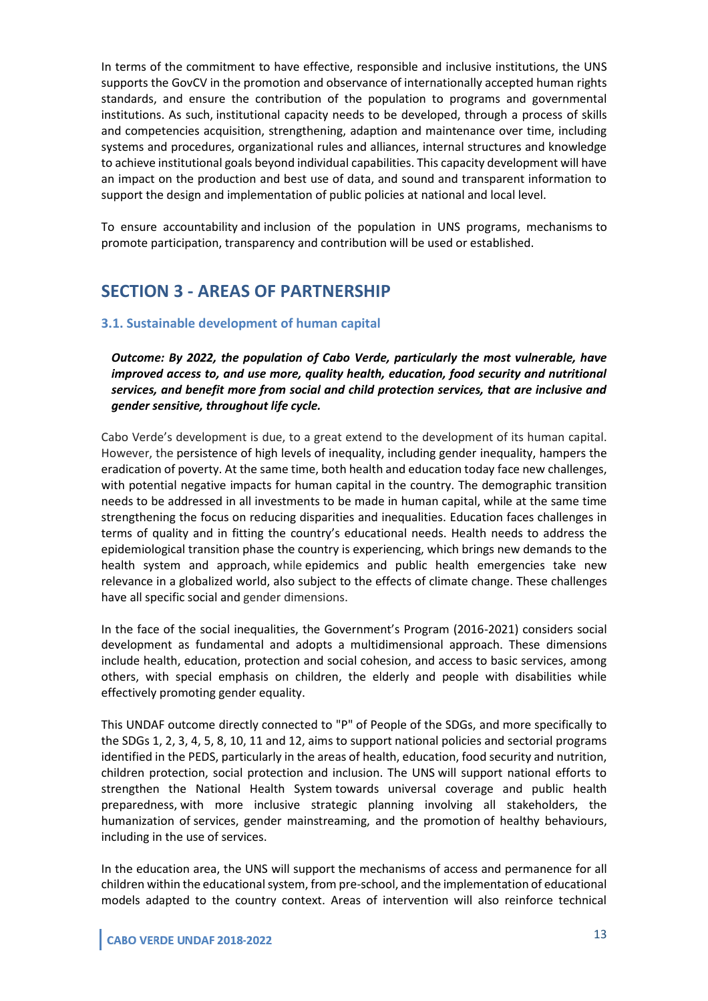In terms of the commitment to have effective, responsible and inclusive institutions, the UNS supports the GovCV in the promotion and observance of internationally accepted human rights standards, and ensure the contribution of the population to programs and governmental institutions. As such, institutional capacity needs to be developed, through a process of skills and competencies acquisition, strengthening, adaption and maintenance over time, including systems and procedures, organizational rules and alliances, internal structures and knowledge to achieve institutional goals beyond individual capabilities. This capacity development will have an impact on the production and best use of data, and sound and transparent information to support the design and implementation of public policies at national and local level.

To ensure accountability and inclusion of the population in UNS programs, mechanisms to promote participation, transparency and contribution will be used or established.

## **SECTION 3 - AREAS OF PARTNERSHIP**

#### **3.1. Sustainable development of human capital**

*Outcome: By 2022, the population of Cabo Verde, particularly the most vulnerable, have improved access to, and use more, quality health, education, food security and nutritional services, and benefit more from social and child protection services, that are inclusive and gender sensitive, throughout life cycle.*

Cabo Verde's development is due, to a great extend to the development of its human capital. However, the persistence of high levels of inequality, including gender inequality, hampers the eradication of poverty. At the same time, both health and education today face new challenges, with potential negative impacts for human capital in the country. The demographic transition needs to be addressed in all investments to be made in human capital, while at the same time strengthening the focus on reducing disparities and inequalities. Education faces challenges in terms of quality and in fitting the country's educational needs. Health needs to address the epidemiological transition phase the country is experiencing, which brings new demands to the health system and approach, while epidemics and public health emergencies take new relevance in a globalized world, also subject to the effects of climate change. These challenges have all specific social and gender dimensions.

In the face of the social inequalities, the Government's Program (2016-2021) considers social development as fundamental and adopts a multidimensional approach. These dimensions include health, education, protection and social cohesion, and access to basic services, among others, with special emphasis on children, the elderly and people with disabilities while effectively promoting gender equality.

This UNDAF outcome directly connected to "P" of People of the SDGs, and more specifically to the SDGs 1, 2, 3, 4, 5, 8, 10, 11 and 12, aims to support national policies and sectorial programs identified in the PEDS, particularly in the areas of health, education, food security and nutrition, children protection, social protection and inclusion. The UNS will support national efforts to strengthen the National Health System towards universal coverage and public health preparedness, with more inclusive strategic planning involving all stakeholders, the humanization of services, gender mainstreaming, and the promotion of healthy behaviours, including in the use of services.

In the education area, the UNS will support the mechanisms of access and permanence for all children within the educational system, from pre-school, and the implementation of educational models adapted to the country context. Areas of intervention will also reinforce technical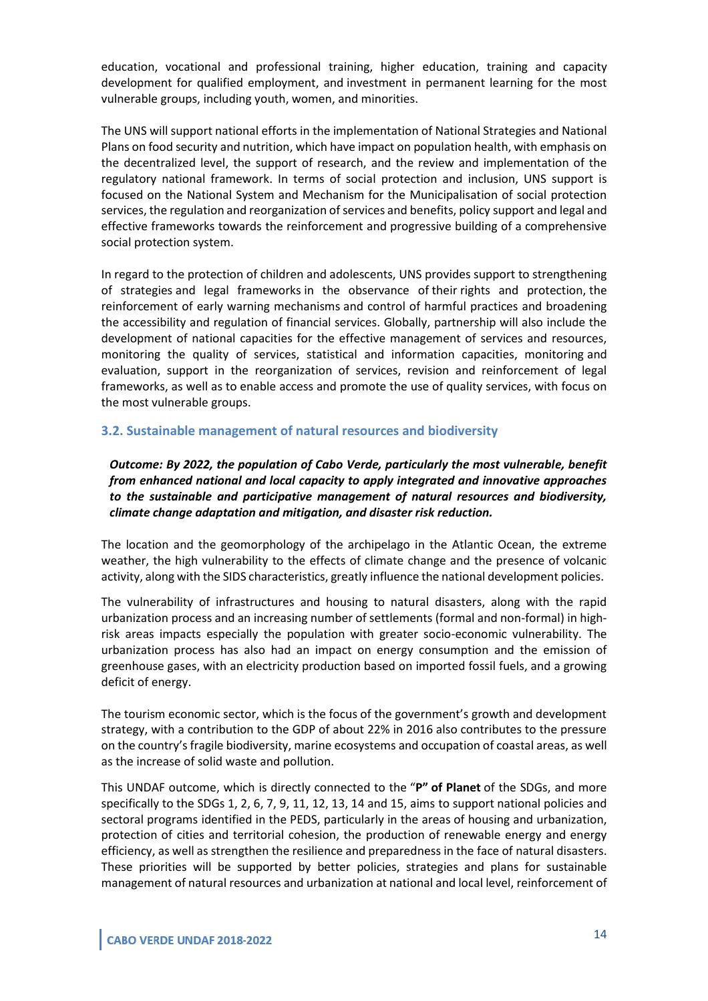education, vocational and professional training, higher education, training and capacity development for qualified employment, and investment in permanent learning for the most vulnerable groups, including youth, women, and minorities.

The UNS will support national efforts in the implementation of National Strategies and National Plans on food security and nutrition, which have impact on population health, with emphasis on the decentralized level, the support of research, and the review and implementation of the regulatory national framework. In terms of social protection and inclusion, UNS support is focused on the National System and Mechanism for the Municipalisation of social protection services, the regulation and reorganization of services and benefits, policy support and legal and effective frameworks towards the reinforcement and progressive building of a comprehensive social protection system.

In regard to the protection of children and adolescents, UNS provides support to strengthening of strategies and legal frameworks in the observance of their rights and protection, the reinforcement of early warning mechanisms and control of harmful practices and broadening the accessibility and regulation of financial services. Globally, partnership will also include the development of national capacities for the effective management of services and resources, monitoring the quality of services, statistical and information capacities, monitoring and evaluation, support in the reorganization of services, revision and reinforcement of legal frameworks, as well as to enable access and promote the use of quality services, with focus on the most vulnerable groups.

#### **3.2. Sustainable management of natural resources and biodiversity**

*Outcome: By 2022, the population of Cabo Verde, particularly the most vulnerable, benefit from enhanced national and local capacity to apply integrated and innovative approaches to the sustainable and participative management of natural resources and biodiversity, climate change adaptation and mitigation, and disaster risk reduction.*

The location and the geomorphology of the archipelago in the Atlantic Ocean, the extreme weather, the high vulnerability to the effects of climate change and the presence of volcanic activity, along with the SIDS characteristics, greatly influence the national development policies.

The vulnerability of infrastructures and housing to natural disasters, along with the rapid urbanization process and an increasing number of settlements (formal and non-formal) in highrisk areas impacts especially the population with greater socio-economic vulnerability. The urbanization process has also had an impact on energy consumption and the emission of greenhouse gases, with an electricity production based on imported fossil fuels, and a growing deficit of energy.

The tourism economic sector, which is the focus of the government's growth and development strategy, with a contribution to the GDP of about 22% in 2016 also contributes to the pressure on the country's fragile biodiversity, marine ecosystems and occupation of coastal areas, as well as the increase of solid waste and pollution.

This UNDAF outcome, which is directly connected to the "**P" of Planet** of the SDGs, and more specifically to the SDGs 1, 2, 6, 7, 9, 11, 12, 13, 14 and 15, aims to support national policies and sectoral programs identified in the PEDS, particularly in the areas of housing and urbanization, protection of cities and territorial cohesion, the production of renewable energy and energy efficiency, as well as strengthen the resilience and preparedness in the face of natural disasters. These priorities will be supported by better policies, strategies and plans for sustainable management of natural resources and urbanization at national and local level, reinforcement of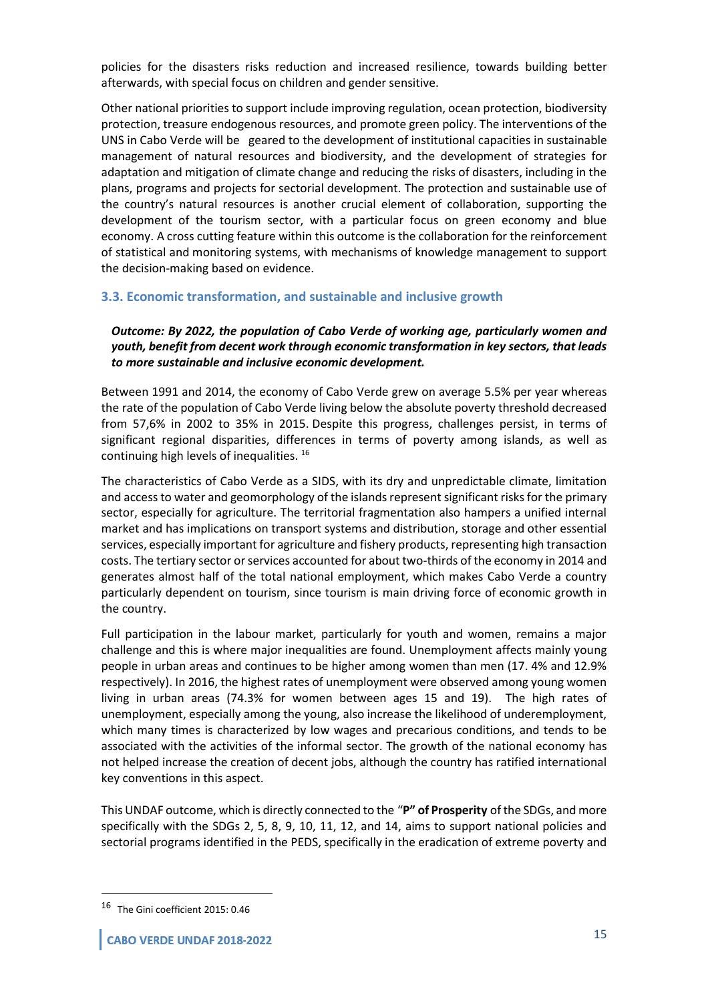policies for the disasters risks reduction and increased resilience, towards building better afterwards, with special focus on children and gender sensitive.

Other national priorities to support include improving regulation, ocean protection, biodiversity protection, treasure endogenous resources, and promote green policy. The interventions of the UNS in Cabo Verde will be geared to the development of institutional capacities in sustainable management of natural resources and biodiversity, and the development of strategies for adaptation and mitigation of climate change and reducing the risks of disasters, including in the plans, programs and projects for sectorial development. The protection and sustainable use of the country's natural resources is another crucial element of collaboration, supporting the development of the tourism sector, with a particular focus on green economy and blue economy. A cross cutting feature within this outcome is the collaboration for the reinforcement of statistical and monitoring systems, with mechanisms of knowledge management to support the decision-making based on evidence.

#### **3.3. Economic transformation, and sustainable and inclusive growth**

#### *Outcome: By 2022, the population of Cabo Verde of working age, particularly women and youth, benefit from decent work through economic transformation in key sectors, that leads to more sustainable and inclusive economic development.*

Between 1991 and 2014, the economy of Cabo Verde grew on average 5.5% per year whereas the rate of the population of Cabo Verde living below the absolute poverty threshold decreased from 57,6% in 2002 to 35% in 2015. Despite this progress, challenges persist, in terms of significant regional disparities, differences in terms of poverty among islands, as well as continuing high levels of inequalities. <sup>16</sup>

The characteristics of Cabo Verde as a SIDS, with its dry and unpredictable climate, limitation and access to water and geomorphology of the islands represent significant risks for the primary sector, especially for agriculture. The territorial fragmentation also hampers a unified internal market and has implications on transport systems and distribution, storage and other essential services, especially important for agriculture and fishery products, representing high transaction costs. The tertiary sector or services accounted for about two-thirds of the economy in 2014 and generates almost half of the total national employment, which makes Cabo Verde a country particularly dependent on tourism, since tourism is main driving force of economic growth in the country.

Full participation in the labour market, particularly for youth and women, remains a major challenge and this is where major inequalities are found. Unemployment affects mainly young people in urban areas and continues to be higher among women than men (17. 4% and 12.9% respectively). In 2016, the highest rates of unemployment were observed among young women living in urban areas (74.3% for women between ages 15 and 19). The high rates of unemployment, especially among the young, also increase the likelihood of underemployment, which many times is characterized by low wages and precarious conditions, and tends to be associated with the activities of the informal sector. The growth of the national economy has not helped increase the creation of decent jobs, although the country has ratified international key conventions in this aspect.

This UNDAF outcome, which is directly connected to the "**P" of Prosperity** of the SDGs, and more specifically with the SDGs 2, 5, 8, 9, 10, 11, 12, and 14, aims to support national policies and sectorial programs identified in the PEDS, specifically in the eradication of extreme poverty and

<sup>16</sup> The Gini coefficient 2015: 0.46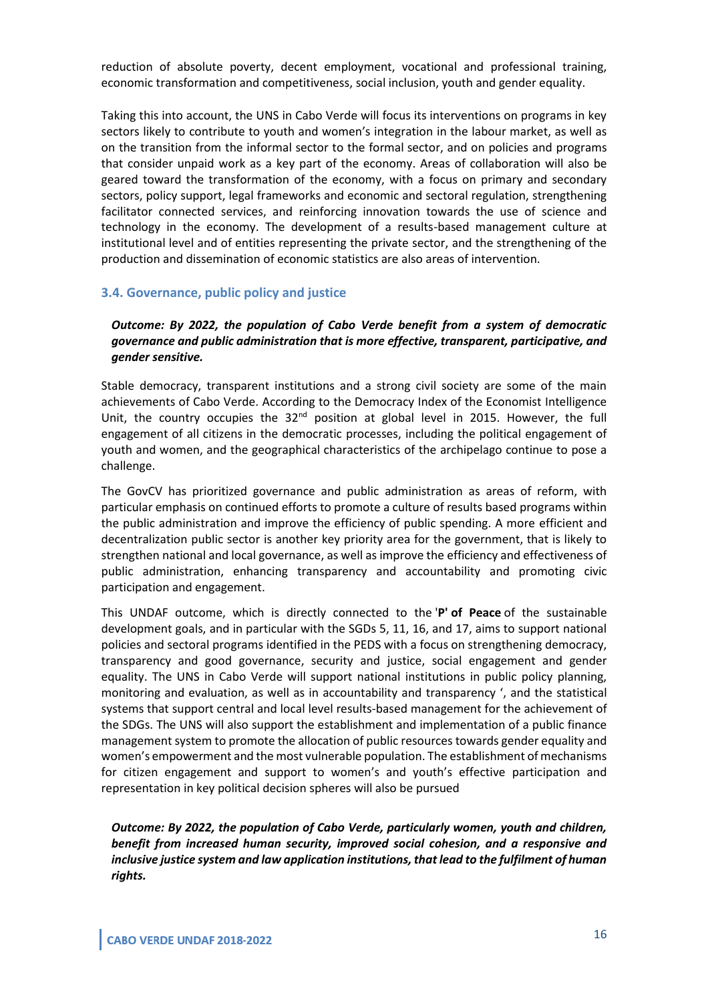reduction of absolute poverty, decent employment, vocational and professional training, economic transformation and competitiveness, social inclusion, youth and gender equality.

Taking this into account, the UNS in Cabo Verde will focus its interventions on programs in key sectors likely to contribute to youth and women's integration in the labour market, as well as on the transition from the informal sector to the formal sector, and on policies and programs that consider unpaid work as a key part of the economy. Areas of collaboration will also be geared toward the transformation of the economy, with a focus on primary and secondary sectors, policy support, legal frameworks and economic and sectoral regulation, strengthening facilitator connected services, and reinforcing innovation towards the use of science and technology in the economy. The development of a results-based management culture at institutional level and of entities representing the private sector, and the strengthening of the production and dissemination of economic statistics are also areas of intervention.

#### **3.4. Governance, public policy and justice**

#### *Outcome: By 2022, the population of Cabo Verde benefit from a system of democratic governance and public administration that is more effective, transparent, participative, and gender sensitive.*

Stable democracy, transparent institutions and a strong civil society are some of the main achievements of Cabo Verde. According to the Democracy Index of the Economist Intelligence Unit, the country occupies the  $32<sup>nd</sup>$  position at global level in 2015. However, the full engagement of all citizens in the democratic processes, including the political engagement of youth and women, and the geographical characteristics of the archipelago continue to pose a challenge.

The GovCV has prioritized governance and public administration as areas of reform, with particular emphasis on continued efforts to promote a culture of results based programs within the public administration and improve the efficiency of public spending. A more efficient and decentralization public sector is another key priority area for the government, that is likely to strengthen national and local governance, as well as improve the efficiency and effectiveness of public administration, enhancing transparency and accountability and promoting civic participation and engagement.

This UNDAF outcome, which is directly connected to the '**P' of Peace** of the sustainable development goals, and in particular with the SGDs 5, 11, 16, and 17, aims to support national policies and sectoral programs identified in the PEDS with a focus on strengthening democracy, transparency and good governance, security and justice, social engagement and gender equality. The UNS in Cabo Verde will support national institutions in public policy planning, monitoring and evaluation, as well as in accountability and transparency ', and the statistical systems that support central and local level results-based management for the achievement of the SDGs. The UNS will also support the establishment and implementation of a public finance management system to promote the allocation of public resources towards gender equality and women's empowerment and the most vulnerable population. The establishment of mechanisms for citizen engagement and support to women's and youth's effective participation and representation in key political decision spheres will also be pursued

*Outcome: By 2022, the population of Cabo Verde, particularly women, youth and children, benefit from increased human security, improved social cohesion, and a responsive and inclusive justice system and law application institutions, that lead to the fulfilment of human rights.*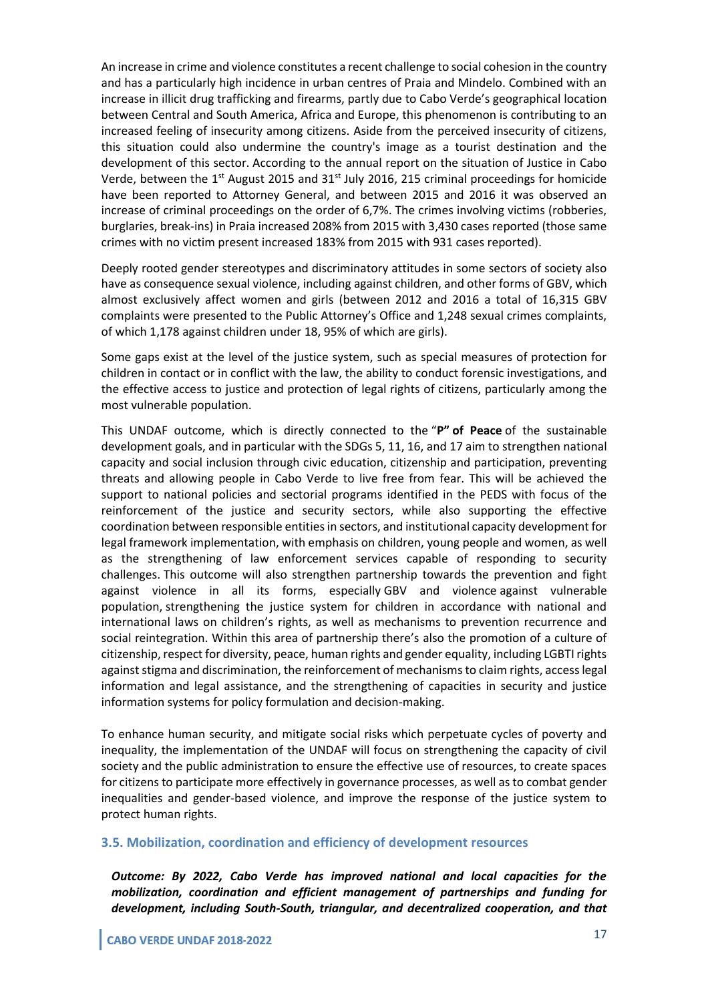An increase in crime and violence constitutes a recent challenge to social cohesion in the country and has a particularly high incidence in urban centres of Praia and Mindelo. Combined with an increase in illicit drug trafficking and firearms, partly due to Cabo Verde's geographical location between Central and South America, Africa and Europe, this phenomenon is contributing to an increased feeling of insecurity among citizens. Aside from the perceived insecurity of citizens, this situation could also undermine the country's image as a tourist destination and the development of this sector. According to the annual report on the situation of Justice in Cabo Verde, between the 1<sup>st</sup> August 2015 and 31<sup>st</sup> July 2016, 215 criminal proceedings for homicide have been reported to Attorney General, and between 2015 and 2016 it was observed an increase of criminal proceedings on the order of 6,7%. The crimes involving victims (robberies, burglaries, break-ins) in Praia increased 208% from 2015 with 3,430 cases reported (those same crimes with no victim present increased 183% from 2015 with 931 cases reported).

Deeply rooted gender stereotypes and discriminatory attitudes in some sectors of society also have as consequence sexual violence, including against children, and other forms of GBV, which almost exclusively affect women and girls (between 2012 and 2016 a total of 16,315 GBV complaints were presented to the Public Attorney's Office and 1,248 sexual crimes complaints, of which 1,178 against children under 18, 95% of which are girls).

Some gaps exist at the level of the justice system, such as special measures of protection for children in contact or in conflict with the law, the ability to conduct forensic investigations, and the effective access to justice and protection of legal rights of citizens, particularly among the most vulnerable population.

This UNDAF outcome, which is directly connected to the "**P" of Peace** of the sustainable development goals, and in particular with the SDGs 5, 11, 16, and 17 aim to strengthen national capacity and social inclusion through civic education, citizenship and participation, preventing threats and allowing people in Cabo Verde to live free from fear. This will be achieved the support to national policies and sectorial programs identified in the PEDS with focus of the reinforcement of the justice and security sectors, while also supporting the effective coordination between responsible entities in sectors, and institutional capacity development for legal framework implementation, with emphasis on children, young people and women, as well as the strengthening of law enforcement services capable of responding to security challenges. This outcome will also strengthen partnership towards the prevention and fight against violence in all its forms, especially GBV and violence against vulnerable population, strengthening the justice system for children in accordance with national and international laws on children's rights, as well as mechanisms to prevention recurrence and social reintegration. Within this area of partnership there's also the promotion of a culture of citizenship, respect for diversity, peace, human rights and gender equality, including LGBTI rights against stigma and discrimination, the reinforcement of mechanisms to claim rights, access legal information and legal assistance, and the strengthening of capacities in security and justice information systems for policy formulation and decision-making.

To enhance human security, and mitigate social risks which perpetuate cycles of poverty and inequality, the implementation of the UNDAF will focus on strengthening the capacity of civil society and the public administration to ensure the effective use of resources, to create spaces for citizens to participate more effectively in governance processes, as well as to combat gender inequalities and gender-based violence, and improve the response of the justice system to protect human rights.

#### **3.5. Mobilization, coordination and efficiency of development resources**

*Outcome: By 2022, Cabo Verde has improved national and local capacities for the mobilization, coordination and efficient management of partnerships and funding for development, including South-South, triangular, and decentralized cooperation, and that*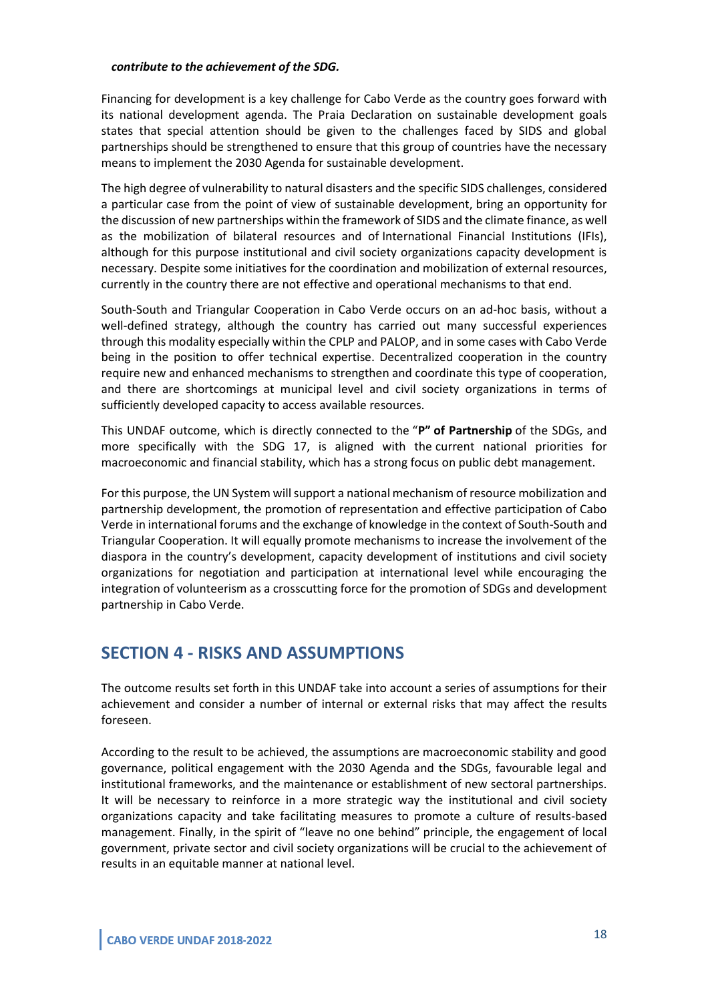#### *contribute to the achievement of the SDG.*

Financing for development is a key challenge for Cabo Verde as the country goes forward with its national development agenda. The Praia Declaration on sustainable development goals states that special attention should be given to the challenges faced by SIDS and global partnerships should be strengthened to ensure that this group of countries have the necessary means to implement the 2030 Agenda for sustainable development.

The high degree of vulnerability to natural disasters and the specific SIDS challenges, considered a particular case from the point of view of sustainable development, bring an opportunity for the discussion of new partnerships within the framework of SIDS and the climate finance, as well as the mobilization of bilateral resources and of International Financial Institutions (IFIs), although for this purpose institutional and civil society organizations capacity development is necessary. Despite some initiatives for the coordination and mobilization of external resources, currently in the country there are not effective and operational mechanisms to that end.

South-South and Triangular Cooperation in Cabo Verde occurs on an ad-hoc basis, without a well-defined strategy, although the country has carried out many successful experiences through this modality especially within the CPLP and PALOP, and in some cases with Cabo Verde being in the position to offer technical expertise. Decentralized cooperation in the country require new and enhanced mechanisms to strengthen and coordinate this type of cooperation, and there are shortcomings at municipal level and civil society organizations in terms of sufficiently developed capacity to access available resources.

This UNDAF outcome, which is directly connected to the "**P" of Partnership** of the SDGs, and more specifically with the SDG 17, is aligned with the current national priorities for macroeconomic and financial stability, which has a strong focus on public debt management.

For this purpose, the UN System will support a national mechanism of resource mobilization and partnership development, the promotion of representation and effective participation of Cabo Verde in international forums and the exchange of knowledge in the context of South-South and Triangular Cooperation. It will equally promote mechanisms to increase the involvement of the diaspora in the country's development, capacity development of institutions and civil society organizations for negotiation and participation at international level while encouraging the integration of volunteerism as a crosscutting force for the promotion of SDGs and development partnership in Cabo Verde.

# **SECTION 4 - RISKS AND ASSUMPTIONS**

The outcome results set forth in this UNDAF take into account a series of assumptions for their achievement and consider a number of internal or external risks that may affect the results foreseen.

According to the result to be achieved, the assumptions are macroeconomic stability and good governance, political engagement with the 2030 Agenda and the SDGs, favourable legal and institutional frameworks, and the maintenance or establishment of new sectoral partnerships. It will be necessary to reinforce in a more strategic way the institutional and civil society organizations capacity and take facilitating measures to promote a culture of results-based management. Finally, in the spirit of "leave no one behind" principle, the engagement of local government, private sector and civil society organizations will be crucial to the achievement of results in an equitable manner at national level.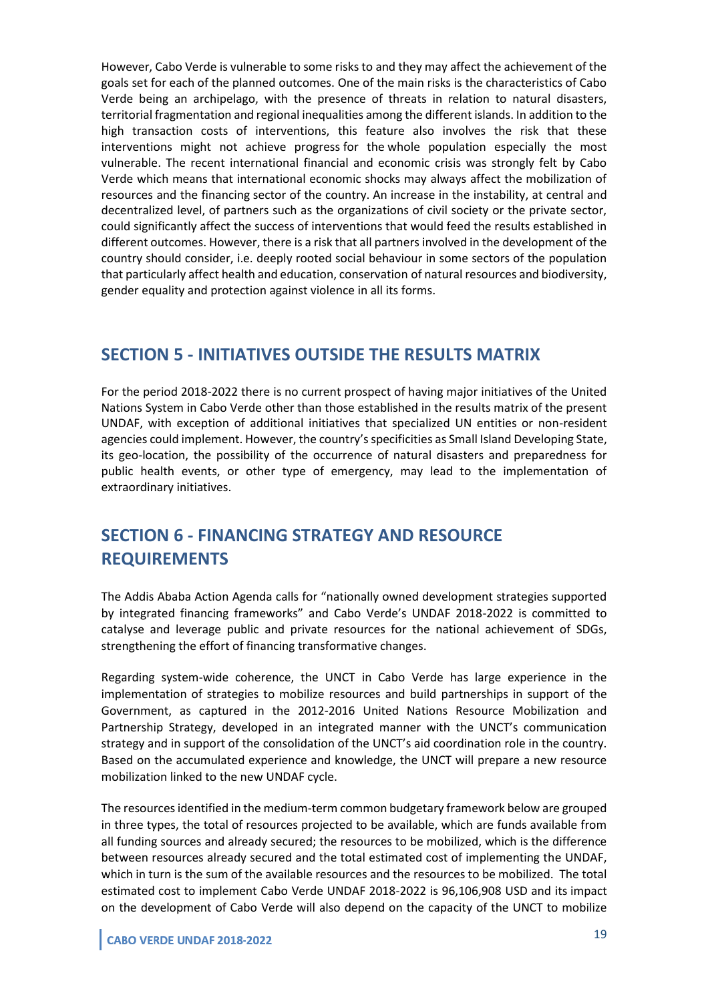However, Cabo Verde is vulnerable to some risks to and they may affect the achievement of the goals set for each of the planned outcomes. One of the main risks is the characteristics of Cabo Verde being an archipelago, with the presence of threats in relation to natural disasters, territorial fragmentation and regional inequalities among the different islands. In addition to the high transaction costs of interventions, this feature also involves the risk that these interventions might not achieve progress for the whole population especially the most vulnerable. The recent international financial and economic crisis was strongly felt by Cabo Verde which means that international economic shocks may always affect the mobilization of resources and the financing sector of the country. An increase in the instability, at central and decentralized level, of partners such as the organizations of civil society or the private sector, could significantly affect the success of interventions that would feed the results established in different outcomes. However, there is a risk that all partners involved in the development of the country should consider, i.e. deeply rooted social behaviour in some sectors of the population that particularly affect health and education, conservation of natural resources and biodiversity, gender equality and protection against violence in all its forms.

## **SECTION 5 - INITIATIVES OUTSIDE THE RESULTS MATRIX**

For the period 2018-2022 there is no current prospect of having major initiatives of the United Nations System in Cabo Verde other than those established in the results matrix of the present UNDAF, with exception of additional initiatives that specialized UN entities or non-resident agencies could implement. However, the country's specificities as Small Island Developing State, its geo-location, the possibility of the occurrence of natural disasters and preparedness for public health events, or other type of emergency, may lead to the implementation of extraordinary initiatives.

# **SECTION 6 - FINANCING STRATEGY AND RESOURCE REQUIREMENTS**

The Addis Ababa Action Agenda calls for "nationally owned development strategies supported by integrated financing frameworks" and Cabo Verde's UNDAF 2018-2022 is committed to catalyse and leverage public and private resources for the national achievement of SDGs, strengthening the effort of financing transformative changes.

Regarding system-wide coherence, the UNCT in Cabo Verde has large experience in the implementation of strategies to mobilize resources and build partnerships in support of the Government, as captured in the 2012-2016 United Nations Resource Mobilization and Partnership Strategy, developed in an integrated manner with the UNCT's communication strategy and in support of the consolidation of the UNCT's aid coordination role in the country. Based on the accumulated experience and knowledge, the UNCT will prepare a new resource mobilization linked to the new UNDAF cycle.

The resources identified in the medium-term common budgetary framework below are grouped in three types, the total of resources projected to be available, which are funds available from all funding sources and already secured; the resources to be mobilized, which is the difference between resources already secured and the total estimated cost of implementing the UNDAF, which in turn is the sum of the available resources and the resources to be mobilized. The total estimated cost to implement Cabo Verde UNDAF 2018-2022 is 96,106,908 USD and its impact on the development of Cabo Verde will also depend on the capacity of the UNCT to mobilize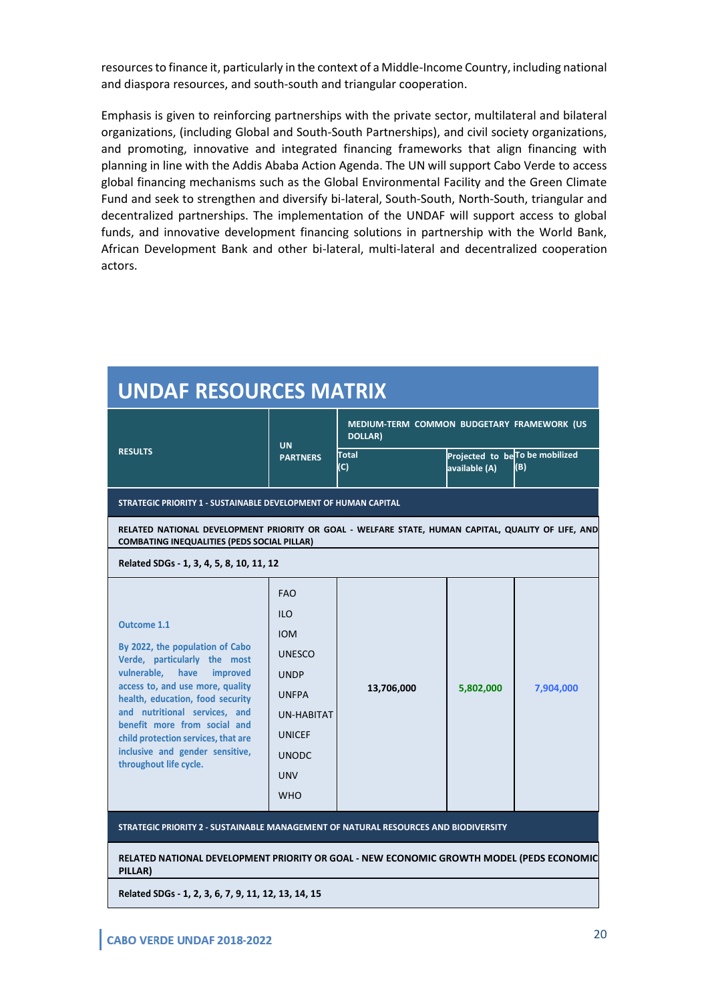resources to finance it, particularly in the context of a Middle-Income Country, including national and diaspora resources, and south-south and triangular cooperation.

Emphasis is given to reinforcing partnerships with the private sector, multilateral and bilateral organizations, (including Global and South-South Partnerships), and civil society organizations, and promoting, innovative and integrated financing frameworks that align financing with planning in line with the Addis Ababa Action Agenda. The UN will support Cabo Verde to access global financing mechanisms such as the Global Environmental Facility and the Green Climate Fund and seek to strengthen and diversify bi-lateral, South-South, North-South, triangular and decentralized partnerships. The implementation of the UNDAF will support access to global funds, and innovative development financing solutions in partnership with the World Bank, African Development Bank and other bi-lateral, multi-lateral and decentralized cooperation actors.

| <b>UNDAF RESOURCES MATRIX</b>                                                                                                                                                                                                                                                                                                                                                                                                                                                                                                                                                             |                 |                                                              |                                                  |     |  |  |
|-------------------------------------------------------------------------------------------------------------------------------------------------------------------------------------------------------------------------------------------------------------------------------------------------------------------------------------------------------------------------------------------------------------------------------------------------------------------------------------------------------------------------------------------------------------------------------------------|-----------------|--------------------------------------------------------------|--------------------------------------------------|-----|--|--|
|                                                                                                                                                                                                                                                                                                                                                                                                                                                                                                                                                                                           | <b>UN</b>       | MEDIUM-TERM COMMON BUDGETARY FRAMEWORK (US<br><b>DOLLAR)</b> |                                                  |     |  |  |
| <b>RESULTS</b>                                                                                                                                                                                                                                                                                                                                                                                                                                                                                                                                                                            | <b>PARTNERS</b> | <b>Total</b><br>(C)                                          | Projected to be To be mobilized<br>available (A) | (B) |  |  |
| STRATEGIC PRIORITY 1 - SUSTAINABLE DEVELOPMENT OF HUMAN CAPITAL                                                                                                                                                                                                                                                                                                                                                                                                                                                                                                                           |                 |                                                              |                                                  |     |  |  |
| RELATED NATIONAL DEVELOPMENT PRIORITY OR GOAL - WELFARE STATE, HUMAN CAPITAL, QUALITY OF LIFE, AND<br><b>COMBATING INEQUALITIES (PEDS SOCIAL PILLAR)</b>                                                                                                                                                                                                                                                                                                                                                                                                                                  |                 |                                                              |                                                  |     |  |  |
| Related SDGs - 1, 3, 4, 5, 8, 10, 11, 12                                                                                                                                                                                                                                                                                                                                                                                                                                                                                                                                                  |                 |                                                              |                                                  |     |  |  |
| <b>FAO</b><br><b>ILO</b><br><b>Outcome 1.1</b><br><b>IOM</b><br>By 2022, the population of Cabo<br><b>UNESCO</b><br>Verde, particularly the most<br>vulnerable.<br>have<br>improved<br><b>UNDP</b><br>access to, and use more, quality<br>13,706,000<br>5,802,000<br>7,904,000<br><b>UNFPA</b><br>health, education, food security<br>and nutritional services, and<br><b>UN-HABITAT</b><br>benefit more from social and<br><b>UNICEF</b><br>child protection services, that are<br>inclusive and gender sensitive,<br><b>UNODC</b><br>throughout life cycle.<br><b>UNV</b><br><b>WHO</b> |                 |                                                              |                                                  |     |  |  |
| STRATEGIC PRIORITY 2 - SUSTAINABLE MANAGEMENT OF NATURAL RESOURCES AND BIODIVERSITY                                                                                                                                                                                                                                                                                                                                                                                                                                                                                                       |                 |                                                              |                                                  |     |  |  |
| RELATED NATIONAL DEVELOPMENT PRIORITY OR GOAL - NEW ECONOMIC GROWTH MODEL (PEDS ECONOMIC<br>PILLAR)                                                                                                                                                                                                                                                                                                                                                                                                                                                                                       |                 |                                                              |                                                  |     |  |  |
| Related SDGs - 1, 2, 3, 6, 7, 9, 11, 12, 13, 14, 15                                                                                                                                                                                                                                                                                                                                                                                                                                                                                                                                       |                 |                                                              |                                                  |     |  |  |
|                                                                                                                                                                                                                                                                                                                                                                                                                                                                                                                                                                                           |                 |                                                              |                                                  |     |  |  |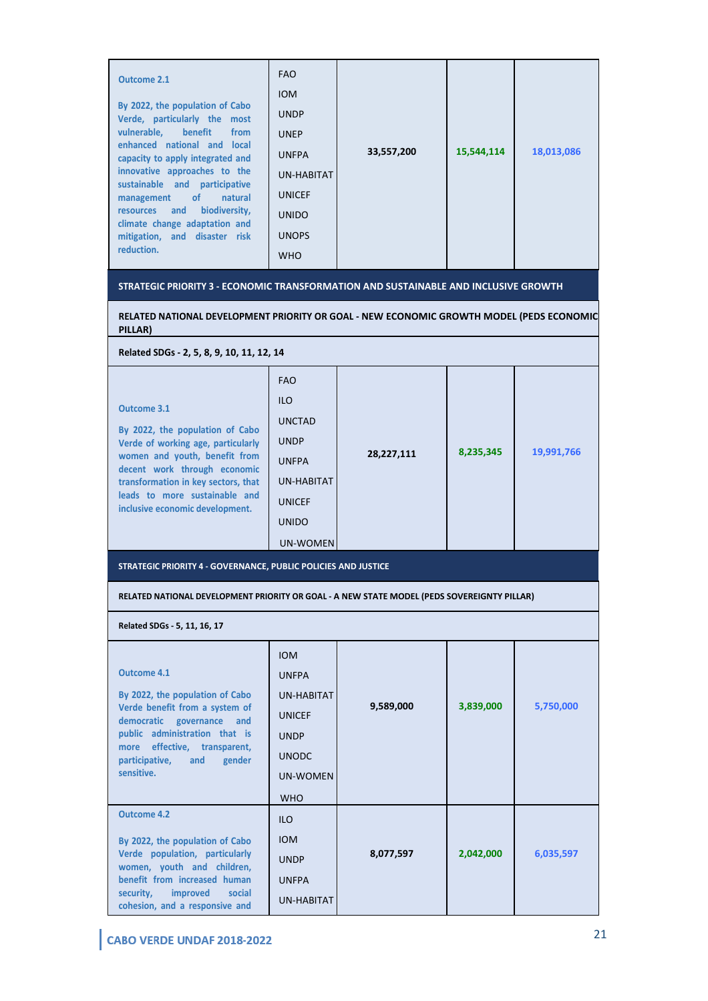| <b>Outcome 2.1</b><br>By 2022, the population of Cabo<br>Verde, particularly the most<br>vulnerable, benefit<br>from<br>enhanced national and local<br>capacity to apply integrated and<br>innovative approaches to the<br>sustainable and participative<br>of<br>natural<br>management<br>biodiversity,<br>and<br>resources<br>climate change adaptation and<br>mitigation, and disaster risk<br>reduction. | <b>FAO</b><br><b>IOM</b><br><b>UNDP</b><br><b>UNEP</b><br><b>UNFPA</b><br>UN-HABITAT<br><b>UNICEF</b><br><b>UNIDO</b><br><b>UNOPS</b><br><b>WHO</b> | 33,557,200 | 15,544,114 | 18,013,086 |
|--------------------------------------------------------------------------------------------------------------------------------------------------------------------------------------------------------------------------------------------------------------------------------------------------------------------------------------------------------------------------------------------------------------|-----------------------------------------------------------------------------------------------------------------------------------------------------|------------|------------|------------|
| STRATEGIC PRIORITY 3 - ECONOMIC TRANSFORMATION AND SUSTAINABLE AND INCLUSIVE GROWTH                                                                                                                                                                                                                                                                                                                          |                                                                                                                                                     |            |            |            |
|                                                                                                                                                                                                                                                                                                                                                                                                              |                                                                                                                                                     |            |            |            |

**RELATED NATIONAL DEVELOPMENT PRIORITY OR GOAL - NEW ECONOMIC GROWTH MODEL (PEDS ECONOMIC PILLAR)**

**Related SDGs - 2, 5, 8, 9, 10, 11, 12, 14**

| UN-WOMEN |
|----------|
|----------|

**STRATEGIC PRIORITY 4 - GOVERNANCE, PUBLIC POLICIES AND JUSTICE**

**RELATED NATIONAL DEVELOPMENT PRIORITY OR GOAL - A NEW STATE MODEL (PEDS SOVEREIGNTY PILLAR)**

**Related SDGs - 5, 11, 16, 17**

| Outcome 4.1<br>By 2022, the population of Cabo<br>Verde benefit from a system of<br>democratic<br>governance and<br>public administration that is<br>effective, transparent,<br>more<br>participative,<br>gender<br>and<br>sensitive. | <b>IOM</b><br><b>UNFPA</b><br>UN-HABITAT<br><b>UNICEF</b><br><b>UNDP</b><br><b>UNODC</b><br>UN-WOMEN<br><b>WHO</b> | 9,589,000 | 3,839,000 | 5,750,000 |
|---------------------------------------------------------------------------------------------------------------------------------------------------------------------------------------------------------------------------------------|--------------------------------------------------------------------------------------------------------------------|-----------|-----------|-----------|
| <b>Outcome 4.2</b><br>By 2022, the population of Cabo<br>Verde population, particularly<br>women, youth and children,<br>benefit from increased human<br>security,<br>improved<br>social<br>cohesion, and a responsive and            | <b>ILO</b><br><b>IOM</b><br><b>UNDP</b><br><b>UNFPA</b><br><b>UN-HABITAT</b>                                       | 8,077,597 | 2,042,000 | 6,035,597 |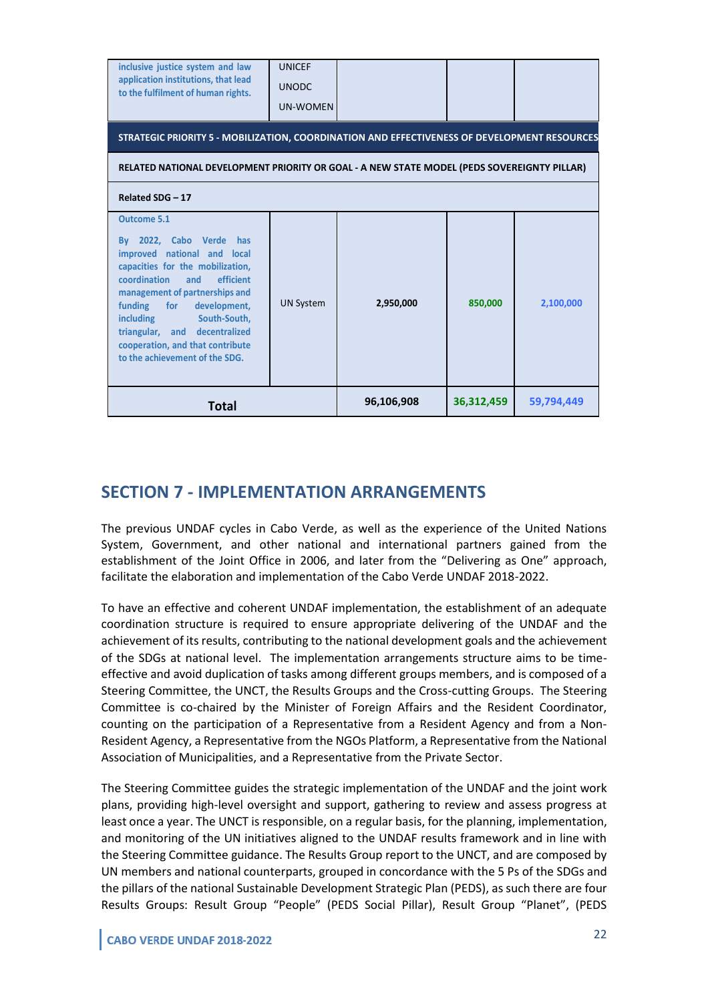| inclusive justice system and law<br>application institutions, that lead<br>to the fulfilment of human rights.                                                                                                                                                                                                                                                    | <b>UNICEF</b><br><b>UNODC</b><br><b>UN-WOMEN</b> |            |            |            |
|------------------------------------------------------------------------------------------------------------------------------------------------------------------------------------------------------------------------------------------------------------------------------------------------------------------------------------------------------------------|--------------------------------------------------|------------|------------|------------|
| STRATEGIC PRIORITY 5 - MOBILIZATION, COORDINATION AND EFFECTIVENESS OF DEVELOPMENT RESOURCES                                                                                                                                                                                                                                                                     |                                                  |            |            |            |
| RELATED NATIONAL DEVELOPMENT PRIORITY OR GOAL - A NEW STATE MODEL (PEDS SOVEREIGNTY PILLAR)                                                                                                                                                                                                                                                                      |                                                  |            |            |            |
| Related SDG - 17                                                                                                                                                                                                                                                                                                                                                 |                                                  |            |            |            |
| <b>Outcome 5.1</b><br>By 2022, Cabo Verde has<br>improved national and local<br>capacities for the mobilization,<br>coordination<br>and<br>efficient<br>management of partnerships and<br>funding<br>for development,<br>South-South,<br><b>including</b><br>triangular, and decentralized<br>cooperation, and that contribute<br>to the achievement of the SDG. | <b>UN System</b>                                 | 2,950,000  | 850,000    | 2,100,000  |
| <b>Total</b>                                                                                                                                                                                                                                                                                                                                                     |                                                  | 96,106,908 | 36,312,459 | 59,794,449 |

## **SECTION 7 - IMPLEMENTATION ARRANGEMENTS**

The previous UNDAF cycles in Cabo Verde, as well as the experience of the United Nations System, Government, and other national and international partners gained from the establishment of the Joint Office in 2006, and later from the "Delivering as One" approach, facilitate the elaboration and implementation of the Cabo Verde UNDAF 2018-2022.

To have an effective and coherent UNDAF implementation, the establishment of an adequate coordination structure is required to ensure appropriate delivering of the UNDAF and the achievement of its results, contributing to the national development goals and the achievement of the SDGs at national level. The implementation arrangements structure aims to be timeeffective and avoid duplication of tasks among different groups members, and is composed of a Steering Committee, the UNCT, the Results Groups and the Cross-cutting Groups. The Steering Committee is co-chaired by the Minister of Foreign Affairs and the Resident Coordinator, counting on the participation of a Representative from a Resident Agency and from a Non-Resident Agency, a Representative from the NGOs Platform, a Representative from the National Association of Municipalities, and a Representative from the Private Sector.

The Steering Committee guides the strategic implementation of the UNDAF and the joint work plans, providing high-level oversight and support, gathering to review and assess progress at least once a year. The UNCT is responsible, on a regular basis, for the planning, implementation, and monitoring of the UN initiatives aligned to the UNDAF results framework and in line with the Steering Committee guidance. The Results Group report to the UNCT, and are composed by UN members and national counterparts, grouped in concordance with the 5 Ps of the SDGs and the pillars of the national Sustainable Development Strategic Plan (PEDS), as such there are four Results Groups: Result Group "People" (PEDS Social Pillar), Result Group "Planet", (PEDS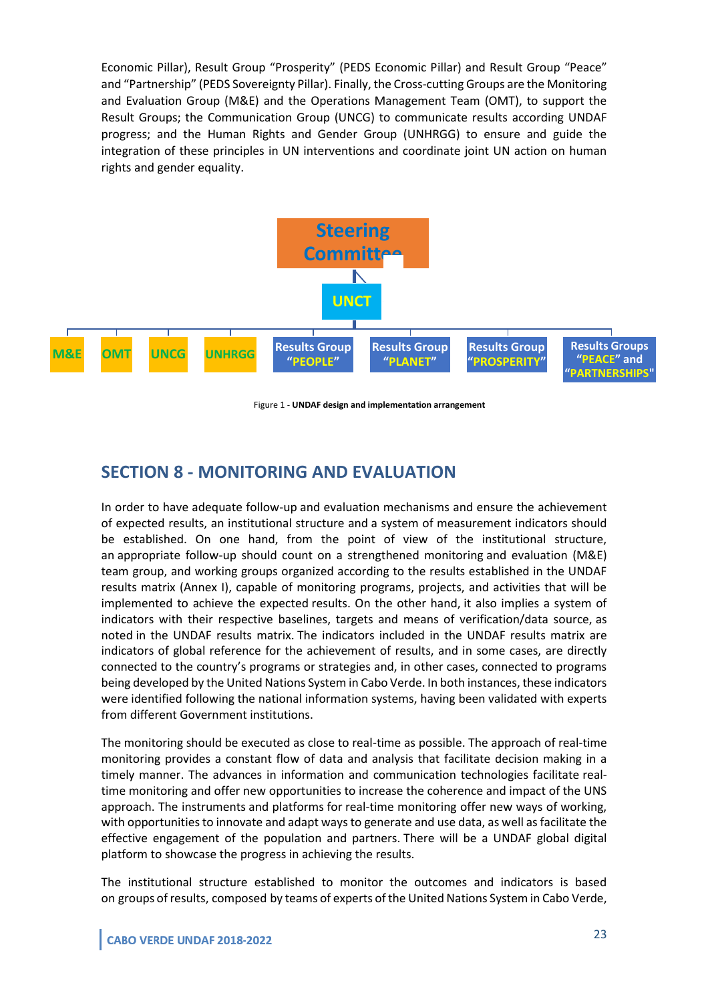Economic Pillar), Result Group "Prosperity" (PEDS Economic Pillar) and Result Group "Peace" and "Partnership" (PEDS Sovereignty Pillar). Finally, the Cross-cutting Groups are the Monitoring and Evaluation Group (M&E) and the Operations Management Team (OMT), to support the Result Groups; the Communication Group (UNCG) to communicate results according UNDAF progress; and the Human Rights and Gender Group (UNHRGG) to ensure and guide the integration of these principles in UN interventions and coordinate joint UN action on human rights and gender equality.



Figure 1 - **UNDAF design and implementation arrangement**

# **SECTION 8 - MONITORING AND EVALUATION**

In order to have adequate follow-up and evaluation mechanisms and ensure the achievement of expected results, an institutional structure and a system of measurement indicators should be established. On one hand, from the point of view of the institutional structure, an appropriate follow-up should count on a strengthened monitoring and evaluation (M&E) team group, and working groups organized according to the results established in the UNDAF results matrix (Annex I), capable of monitoring programs, projects, and activities that will be implemented to achieve the expected results. On the other hand, it also implies a system of indicators with their respective baselines, targets and means of verification/data source, as noted in the UNDAF results matrix. The indicators included in the UNDAF results matrix are indicators of global reference for the achievement of results, and in some cases, are directly connected to the country's programs or strategies and, in other cases, connected to programs being developed by the United Nations System in Cabo Verde. In both instances, these indicators were identified following the national information systems, having been validated with experts from different Government institutions.

The monitoring should be executed as close to real-time as possible. The approach of real-time monitoring provides a constant flow of data and analysis that facilitate decision making in a timely manner. The advances in information and communication technologies facilitate realtime monitoring and offer new opportunities to increase the coherence and impact of the UNS approach. The instruments and platforms for real-time monitoring offer new ways of working, with opportunities to innovate and adapt ways to generate and use data, as well as facilitate the effective engagement of the population and partners. There will be a UNDAF global digital platform to showcase the progress in achieving the results.

The institutional structure established to monitor the outcomes and indicators is based on groups of results, composed by teams of experts of the United Nations System in Cabo Verde,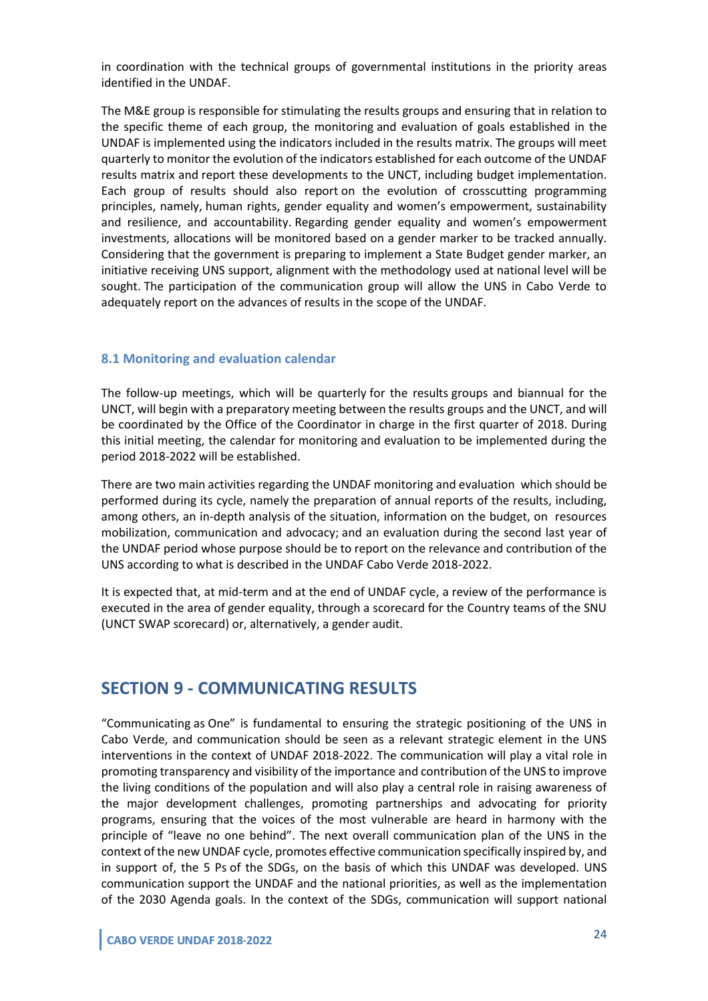in coordination with the technical groups of governmental institutions in the priority areas identified in the UNDAF.

The M&E group is responsible for stimulating the results groups and ensuring that in relation to the specific theme of each group, the monitoring and evaluation of goals established in the UNDAF is implemented using the indicators included in the results matrix. The groups will meet quarterly to monitor the evolution of the indicators established for each outcome of the UNDAF results matrix and report these developments to the UNCT, including budget implementation. Each group of results should also report on the evolution of crosscutting programming principles, namely, human rights, gender equality and women's empowerment, sustainability and resilience, and accountability. Regarding gender equality and women's empowerment investments, allocations will be monitored based on a gender marker to be tracked annually. Considering that the government is preparing to implement a State Budget gender marker, an initiative receiving UNS support, alignment with the methodology used at national level will be sought. The participation of the communication group will allow the UNS in Cabo Verde to adequately report on the advances of results in the scope of the UNDAF.

#### **8.1 Monitoring and evaluation calendar**

The follow-up meetings, which will be quarterly for the results groups and biannual for the UNCT, will begin with a preparatory meeting between the results groups and the UNCT, and will be coordinated by the Office of the Coordinator in charge in the first quarter of 2018. During this initial meeting, the calendar for monitoring and evaluation to be implemented during the period 2018-2022 will be established.

There are two main activities regarding the UNDAF monitoring and evaluation which should be performed during its cycle, namely the preparation of annual reports of the results, including, among others, an in-depth analysis of the situation, information on the budget, on resources mobilization, communication and advocacy; and an evaluation during the second last year of the UNDAF period whose purpose should be to report on the relevance and contribution of the UNS according to what is described in the UNDAF Cabo Verde 2018-2022.

It is expected that, at mid-term and at the end of UNDAF cycle, a review of the performance is executed in the area of gender equality, through a scorecard for the Country teams of the SNU (UNCT SWAP scorecard) or, alternatively, a gender audit.

### **SECTION 9 - COMMUNICATING RESULTS**

"Communicating as One" is fundamental to ensuring the strategic positioning of the UNS in Cabo Verde, and communication should be seen as a relevant strategic element in the UNS interventions in the context of UNDAF 2018-2022. The communication will play a vital role in promoting transparency and visibility of the importance and contribution of the UNS to improve the living conditions of the population and will also play a central role in raising awareness of the major development challenges, promoting partnerships and advocating for priority programs, ensuring that the voices of the most vulnerable are heard in harmony with the principle of "leave no one behind". The next overall communication plan of the UNS in the context of the new UNDAF cycle, promotes effective communication specifically inspired by, and in support of, the 5 Ps of the SDGs, on the basis of which this UNDAF was developed. UNS communication support the UNDAF and the national priorities, as well as the implementation of the 2030 Agenda goals. In the context of the SDGs, communication will support national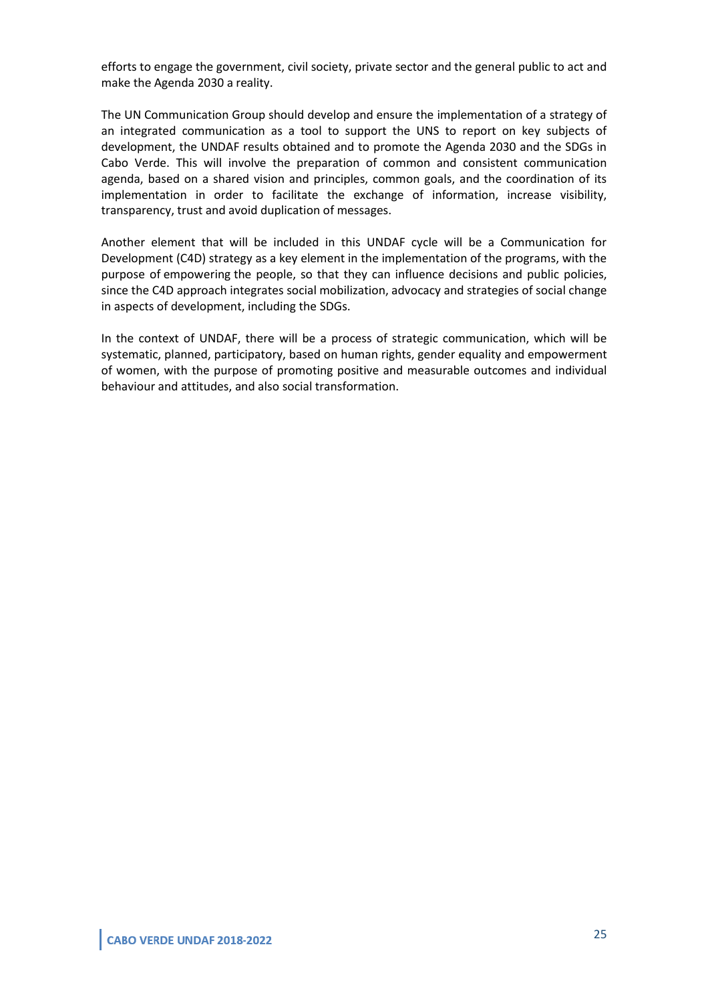efforts to engage the government, civil society, private sector and the general public to act and make the Agenda 2030 a reality.

The UN Communication Group should develop and ensure the implementation of a strategy of an integrated communication as a tool to support the UNS to report on key subjects of development, the UNDAF results obtained and to promote the Agenda 2030 and the SDGs in Cabo Verde. This will involve the preparation of common and consistent communication agenda, based on a shared vision and principles, common goals, and the coordination of its implementation in order to facilitate the exchange of information, increase visibility, transparency, trust and avoid duplication of messages.

Another element that will be included in this UNDAF cycle will be a Communication for Development (C4D) strategy as a key element in the implementation of the programs, with the purpose of empowering the people, so that they can influence decisions and public policies, since the C4D approach integrates social mobilization, advocacy and strategies of social change in aspects of development, including the SDGs.

In the context of UNDAF, there will be a process of strategic communication, which will be systematic, planned, participatory, based on human rights, gender equality and empowerment of women, with the purpose of promoting positive and measurable outcomes and individual behaviour and attitudes, and also social transformation.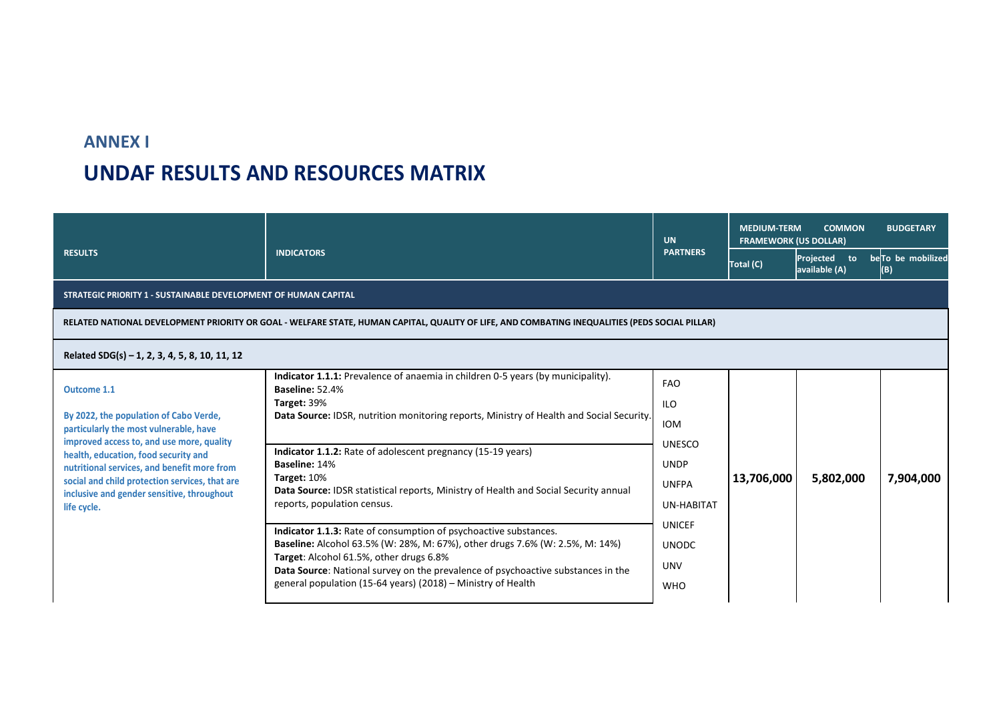# **ANNEX I UNDAF RESULTS AND RESOURCES MATRIX**

|                                                                                                                                                                                                                                                                                                                                                    |                                                                                                                                                                                                                                                                                                                                                                                                                                                                                                                                                                                                                                                                                                                                                                                        | <b>UN</b>                                                                                                                                                         | <b>MEDIUM-TERM</b><br><b>COMMON</b><br><b>BUDGETARY</b><br><b>FRAMEWORK (US DOLLAR)</b> |                               |                           |
|----------------------------------------------------------------------------------------------------------------------------------------------------------------------------------------------------------------------------------------------------------------------------------------------------------------------------------------------------|----------------------------------------------------------------------------------------------------------------------------------------------------------------------------------------------------------------------------------------------------------------------------------------------------------------------------------------------------------------------------------------------------------------------------------------------------------------------------------------------------------------------------------------------------------------------------------------------------------------------------------------------------------------------------------------------------------------------------------------------------------------------------------------|-------------------------------------------------------------------------------------------------------------------------------------------------------------------|-----------------------------------------------------------------------------------------|-------------------------------|---------------------------|
| <b>RESULTS</b>                                                                                                                                                                                                                                                                                                                                     | <b>INDICATORS</b>                                                                                                                                                                                                                                                                                                                                                                                                                                                                                                                                                                                                                                                                                                                                                                      | <b>PARTNERS</b>                                                                                                                                                   | Total (C)                                                                               | Projected to<br>available (A) | be To be mobilized<br>(B) |
| STRATEGIC PRIORITY 1 - SUSTAINABLE DEVELOPMENT OF HUMAN CAPITAL                                                                                                                                                                                                                                                                                    |                                                                                                                                                                                                                                                                                                                                                                                                                                                                                                                                                                                                                                                                                                                                                                                        |                                                                                                                                                                   |                                                                                         |                               |                           |
|                                                                                                                                                                                                                                                                                                                                                    | RELATED NATIONAL DEVELOPMENT PRIORITY OR GOAL - WELFARE STATE, HUMAN CAPITAL, QUALITY OF LIFE, AND COMBATING INEQUALITIES (PEDS SOCIAL PILLAR)                                                                                                                                                                                                                                                                                                                                                                                                                                                                                                                                                                                                                                         |                                                                                                                                                                   |                                                                                         |                               |                           |
| Related SDG(s) - 1, 2, 3, 4, 5, 8, 10, 11, 12                                                                                                                                                                                                                                                                                                      |                                                                                                                                                                                                                                                                                                                                                                                                                                                                                                                                                                                                                                                                                                                                                                                        |                                                                                                                                                                   |                                                                                         |                               |                           |
| Outcome 1.1<br>By 2022, the population of Cabo Verde,<br>particularly the most vulnerable, have<br>improved access to, and use more, quality<br>health, education, food security and<br>nutritional services, and benefit more from<br>social and child protection services, that are<br>inclusive and gender sensitive, throughout<br>life cycle. | Indicator 1.1.1: Prevalence of anaemia in children 0-5 years (by municipality).<br>Baseline: 52.4%<br>Target: 39%<br>Data Source: IDSR, nutrition monitoring reports, Ministry of Health and Social Security.<br>Indicator 1.1.2: Rate of adolescent pregnancy (15-19 years)<br>Baseline: 14%<br>Target: 10%<br>Data Source: IDSR statistical reports, Ministry of Health and Social Security annual<br>reports, population census.<br>Indicator 1.1.3: Rate of consumption of psychoactive substances.<br>Baseline: Alcohol 63.5% (W: 28%, M: 67%), other drugs 7.6% (W: 2.5%, M: 14%)<br>Target: Alcohol 61.5%, other drugs 6.8%<br>Data Source: National survey on the prevalence of psychoactive substances in the<br>general population (15-64 years) (2018) – Ministry of Health | <b>FAO</b><br><b>ILO</b><br><b>IOM</b><br><b>UNESCO</b><br><b>UNDP</b><br><b>UNFPA</b><br>UN-HABITAT<br><b>UNICEF</b><br><b>UNODC</b><br><b>UNV</b><br><b>WHO</b> | 13,706,000                                                                              | 5,802,000                     | 7,904,000                 |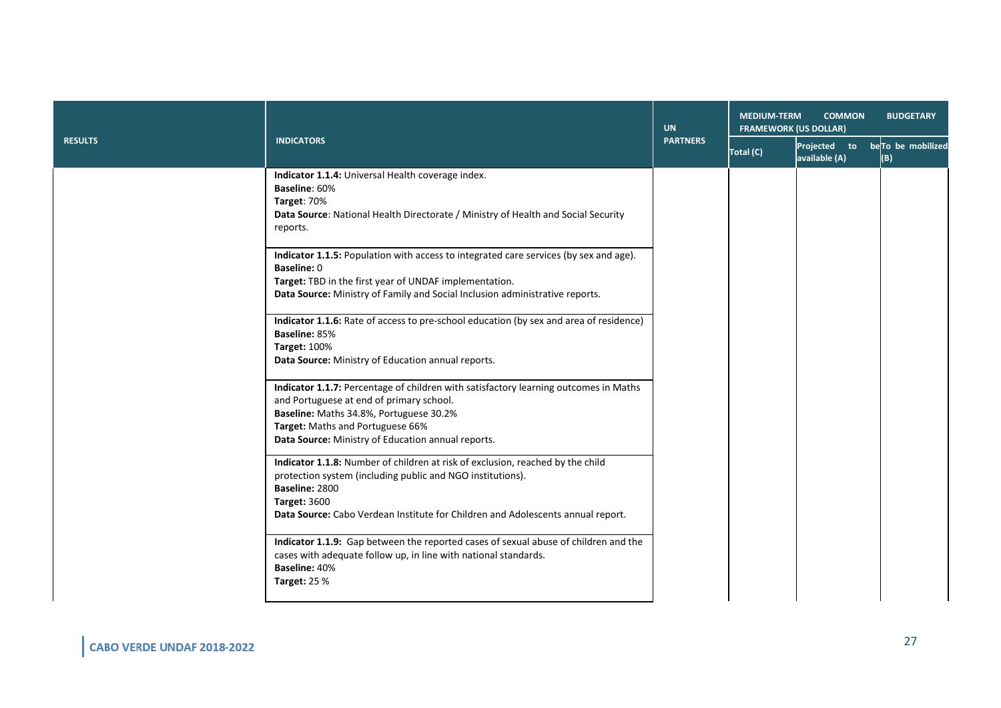|                |                                                                                                                                                                                                                                                                          | <b>UN</b>       | <b>MEDIUM-TERM</b><br><b>COMMON</b><br><b>BUDGETARY</b><br><b>FRAMEWORK (US DOLLAR)</b> |                                                 |     |
|----------------|--------------------------------------------------------------------------------------------------------------------------------------------------------------------------------------------------------------------------------------------------------------------------|-----------------|-----------------------------------------------------------------------------------------|-------------------------------------------------|-----|
| <b>RESULTS</b> | <b>INDICATORS</b>                                                                                                                                                                                                                                                        | <b>PARTNERS</b> | Total (C)                                                                               | Projected to beTo be mobilized<br>available (A) | (B) |
|                | Indicator 1.1.4: Universal Health coverage index.<br>Baseline: 60%<br>Target: 70%<br>Data Source: National Health Directorate / Ministry of Health and Social Security<br>reports.                                                                                       |                 |                                                                                         |                                                 |     |
|                | Indicator 1.1.5: Population with access to integrated care services (by sex and age).<br>Baseline: 0<br>Target: TBD in the first year of UNDAF implementation.<br>Data Source: Ministry of Family and Social Inclusion administrative reports.                           |                 |                                                                                         |                                                 |     |
|                | Indicator 1.1.6: Rate of access to pre-school education (by sex and area of residence)<br>Baseline: 85%<br><b>Target: 100%</b><br>Data Source: Ministry of Education annual reports.                                                                                     |                 |                                                                                         |                                                 |     |
|                | Indicator 1.1.7: Percentage of children with satisfactory learning outcomes in Maths<br>and Portuguese at end of primary school.<br>Baseline: Maths 34.8%, Portuguese 30.2%<br>Target: Maths and Portuguese 66%<br>Data Source: Ministry of Education annual reports.    |                 |                                                                                         |                                                 |     |
|                | Indicator 1.1.8: Number of children at risk of exclusion, reached by the child<br>protection system (including public and NGO institutions).<br>Baseline: 2800<br><b>Target: 3600</b><br>Data Source: Cabo Verdean Institute for Children and Adolescents annual report. |                 |                                                                                         |                                                 |     |
|                | Indicator 1.1.9: Gap between the reported cases of sexual abuse of children and the<br>cases with adequate follow up, in line with national standards.<br>Baseline: 40%<br><b>Target: 25 %</b>                                                                           |                 |                                                                                         |                                                 |     |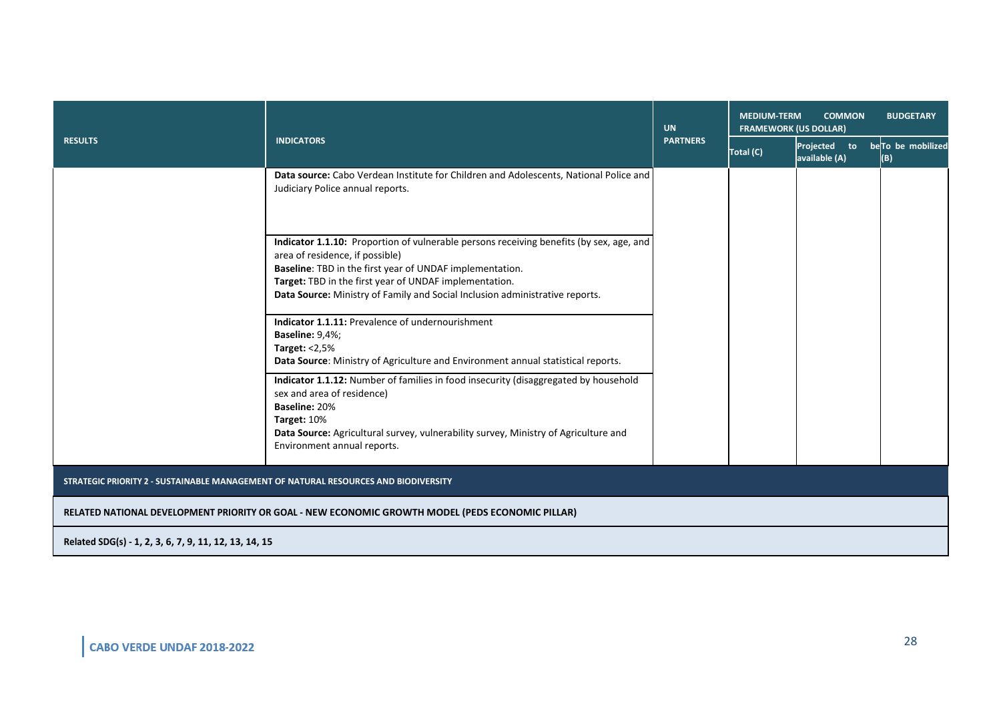|                                                                                                  |                                                                                                                                                                                                                                                                                                                                  | <b>UN</b>       | <b>COMMON</b><br><b>MEDIUM-TERM</b><br><b>BUDGETARY</b><br><b>FRAMEWORK (US DOLLAR)</b> |                               |                          |  |  |
|--------------------------------------------------------------------------------------------------|----------------------------------------------------------------------------------------------------------------------------------------------------------------------------------------------------------------------------------------------------------------------------------------------------------------------------------|-----------------|-----------------------------------------------------------------------------------------|-------------------------------|--------------------------|--|--|
| <b>RESULTS</b>                                                                                   | <b>INDICATORS</b>                                                                                                                                                                                                                                                                                                                | <b>PARTNERS</b> | Total (C)                                                                               | Projected to<br>available (A) | beTo be mobilized<br>(B) |  |  |
|                                                                                                  | Data source: Cabo Verdean Institute for Children and Adolescents, National Police and<br>Judiciary Police annual reports.                                                                                                                                                                                                        |                 |                                                                                         |                               |                          |  |  |
|                                                                                                  | Indicator 1.1.10: Proportion of vulnerable persons receiving benefits (by sex, age, and<br>area of residence, if possible)<br>Baseline: TBD in the first year of UNDAF implementation.<br>Target: TBD in the first year of UNDAF implementation.<br>Data Source: Ministry of Family and Social Inclusion administrative reports. |                 |                                                                                         |                               |                          |  |  |
|                                                                                                  | Indicator 1.1.11: Prevalence of undernourishment<br>Baseline: 9,4%;<br>Target: $<$ 2,5%<br>Data Source: Ministry of Agriculture and Environment annual statistical reports.                                                                                                                                                      |                 |                                                                                         |                               |                          |  |  |
|                                                                                                  | Indicator 1.1.12: Number of families in food insecurity (disaggregated by household<br>sex and area of residence)<br>Baseline: 20%<br>Target: 10%<br>Data Source: Agricultural survey, vulnerability survey, Ministry of Agriculture and<br>Environment annual reports.                                                          |                 |                                                                                         |                               |                          |  |  |
| STRATEGIC PRIORITY 2 - SUSTAINABLE MANAGEMENT OF NATURAL RESOURCES AND BIODIVERSITY              |                                                                                                                                                                                                                                                                                                                                  |                 |                                                                                         |                               |                          |  |  |
| RELATED NATIONAL DEVELOPMENT PRIORITY OR GOAL - NEW ECONOMIC GROWTH MODEL (PEDS ECONOMIC PILLAR) |                                                                                                                                                                                                                                                                                                                                  |                 |                                                                                         |                               |                          |  |  |

**Related SDG(s) - 1, 2, 3, 6, 7, 9, 11, 12, 13, 14, 15**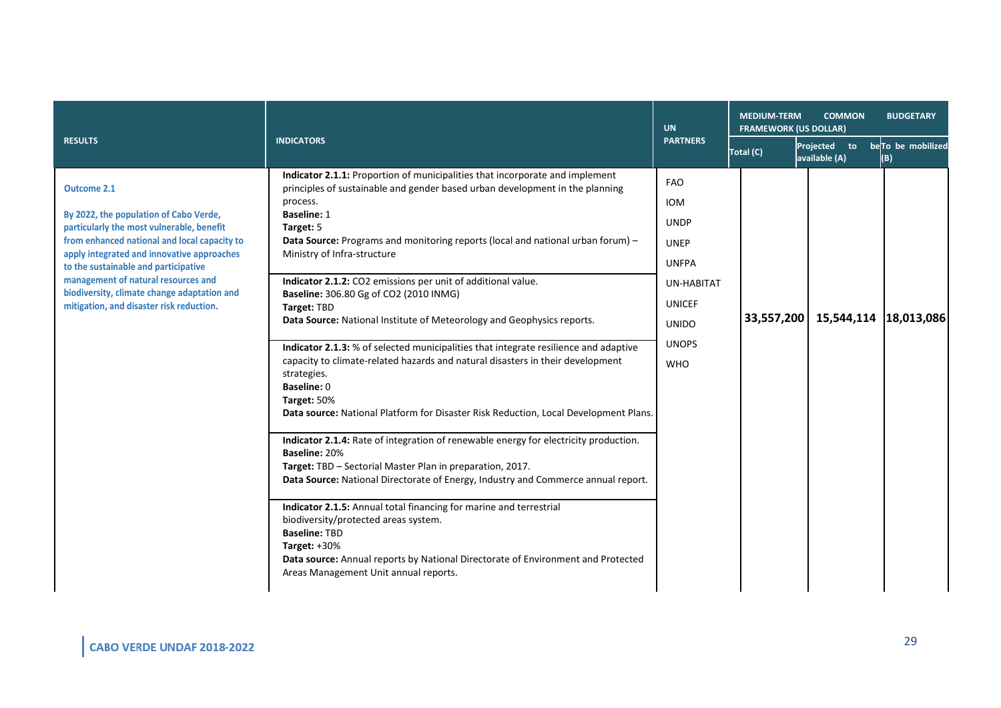| <b>RESULTS</b>                                                                                                                                                                                                                                                                                                                                                                    | <b>INDICATORS</b>                                                                                                                                                                                                                                                                                                                                                                                                                                                                                                                                                                                                                                                                                                                                                                                                                                                                                                                                                                                                                                                                                                                                                                                                                                                                                                                                                                                      | <b>UN</b>                                                                                                                                                  | <b>MEDIUM-TERM</b><br><b>COMMON</b><br><b>BUDGETARY</b><br><b>FRAMEWORK (US DOLLAR)</b> |                               |                          |  |
|-----------------------------------------------------------------------------------------------------------------------------------------------------------------------------------------------------------------------------------------------------------------------------------------------------------------------------------------------------------------------------------|--------------------------------------------------------------------------------------------------------------------------------------------------------------------------------------------------------------------------------------------------------------------------------------------------------------------------------------------------------------------------------------------------------------------------------------------------------------------------------------------------------------------------------------------------------------------------------------------------------------------------------------------------------------------------------------------------------------------------------------------------------------------------------------------------------------------------------------------------------------------------------------------------------------------------------------------------------------------------------------------------------------------------------------------------------------------------------------------------------------------------------------------------------------------------------------------------------------------------------------------------------------------------------------------------------------------------------------------------------------------------------------------------------|------------------------------------------------------------------------------------------------------------------------------------------------------------|-----------------------------------------------------------------------------------------|-------------------------------|--------------------------|--|
|                                                                                                                                                                                                                                                                                                                                                                                   |                                                                                                                                                                                                                                                                                                                                                                                                                                                                                                                                                                                                                                                                                                                                                                                                                                                                                                                                                                                                                                                                                                                                                                                                                                                                                                                                                                                                        | <b>PARTNERS</b>                                                                                                                                            | Total (C)                                                                               | Projected to<br>available (A) | beTo be mobilized<br>(B) |  |
| <b>Outcome 2.1</b><br>By 2022, the population of Cabo Verde,<br>particularly the most vulnerable, benefit<br>from enhanced national and local capacity to<br>apply integrated and innovative approaches<br>to the sustainable and participative<br>management of natural resources and<br>biodiversity, climate change adaptation and<br>mitigation, and disaster risk reduction. | Indicator 2.1.1: Proportion of municipalities that incorporate and implement<br>principles of sustainable and gender based urban development in the planning<br>process.<br><b>Baseline: 1</b><br>Target: 5<br><b>Data Source:</b> Programs and monitoring reports (local and national urban forum) -<br>Ministry of Infra-structure<br>Indicator 2.1.2: CO2 emissions per unit of additional value.<br>Baseline: 306.80 Gg of CO2 (2010 INMG)<br>Target: TBD<br>Data Source: National Institute of Meteorology and Geophysics reports.<br>Indicator 2.1.3: % of selected municipalities that integrate resilience and adaptive<br>capacity to climate-related hazards and natural disasters in their development<br>strategies.<br>Baseline: 0<br>Target: 50%<br>Data source: National Platform for Disaster Risk Reduction, Local Development Plans.<br>Indicator 2.1.4: Rate of integration of renewable energy for electricity production.<br>Baseline: 20%<br>Target: TBD - Sectorial Master Plan in preparation, 2017.<br>Data Source: National Directorate of Energy, Industry and Commerce annual report.<br>Indicator 2.1.5: Annual total financing for marine and terrestrial<br>biodiversity/protected areas system.<br><b>Baseline: TBD</b><br>Target: $+30%$<br>Data source: Annual reports by National Directorate of Environment and Protected<br>Areas Management Unit annual reports. | <b>FAO</b><br><b>IOM</b><br><b>UNDP</b><br><b>UNEP</b><br><b>UNFPA</b><br><b>UN-HABITAT</b><br><b>UNICEF</b><br><b>UNIDO</b><br><b>UNOPS</b><br><b>WHO</b> | 33,557,200                                                                              | 15,544,114 18,013,086         |                          |  |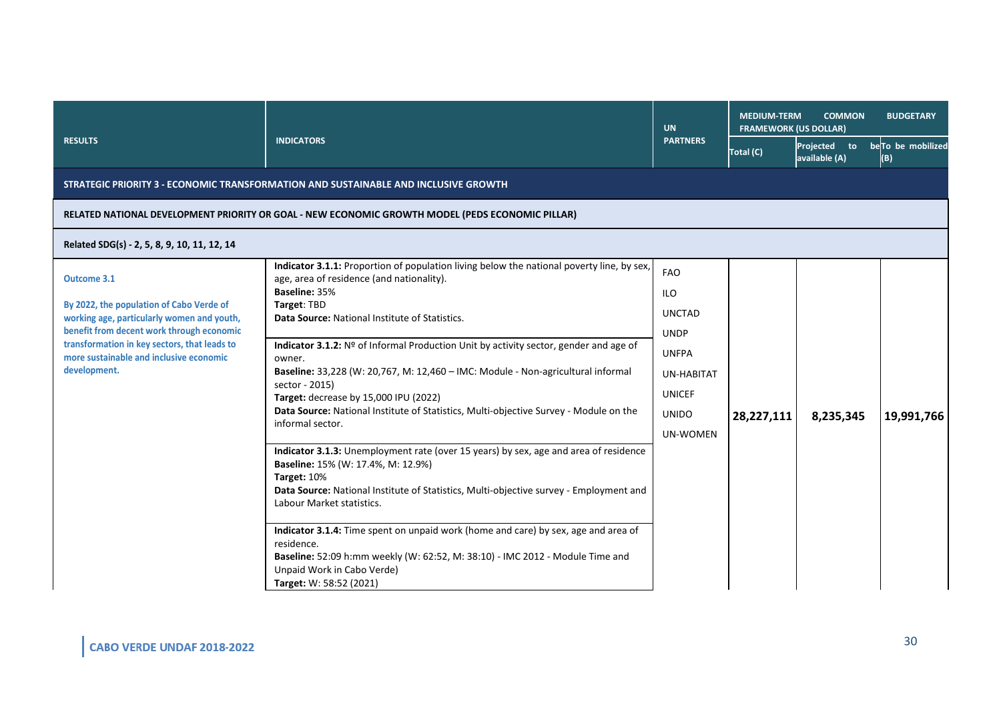| <b>RESULTS</b>                                                                                                                                                                                                                                                | <b>INDICATORS</b>                                                                                                                                                                                                                                                                                                                                                                                                                                                                                                                                                                       | <b>UN</b>                                                                                                                    | <b>MEDIUM-TERM</b><br><b>COMMON</b><br><b>BUDGETARY</b><br><b>FRAMEWORK (US DOLLAR)</b> |                                     |                           |
|---------------------------------------------------------------------------------------------------------------------------------------------------------------------------------------------------------------------------------------------------------------|-----------------------------------------------------------------------------------------------------------------------------------------------------------------------------------------------------------------------------------------------------------------------------------------------------------------------------------------------------------------------------------------------------------------------------------------------------------------------------------------------------------------------------------------------------------------------------------------|------------------------------------------------------------------------------------------------------------------------------|-----------------------------------------------------------------------------------------|-------------------------------------|---------------------------|
|                                                                                                                                                                                                                                                               |                                                                                                                                                                                                                                                                                                                                                                                                                                                                                                                                                                                         | <b>PARTNERS</b>                                                                                                              | Total (C)                                                                               | Projected<br>to to<br>available (A) | be To be mobilized<br>(B) |
|                                                                                                                                                                                                                                                               | STRATEGIC PRIORITY 3 - ECONOMIC TRANSFORMATION AND SUSTAINABLE AND INCLUSIVE GROWTH                                                                                                                                                                                                                                                                                                                                                                                                                                                                                                     |                                                                                                                              |                                                                                         |                                     |                           |
|                                                                                                                                                                                                                                                               | RELATED NATIONAL DEVELOPMENT PRIORITY OR GOAL - NEW ECONOMIC GROWTH MODEL (PEDS ECONOMIC PILLAR)                                                                                                                                                                                                                                                                                                                                                                                                                                                                                        |                                                                                                                              |                                                                                         |                                     |                           |
| Related SDG(s) - 2, 5, 8, 9, 10, 11, 12, 14                                                                                                                                                                                                                   |                                                                                                                                                                                                                                                                                                                                                                                                                                                                                                                                                                                         |                                                                                                                              |                                                                                         |                                     |                           |
| Outcome 3.1<br>By 2022, the population of Cabo Verde of<br>working age, particularly women and youth,<br>benefit from decent work through economic<br>transformation in key sectors, that leads to<br>more sustainable and inclusive economic<br>development. | Indicator 3.1.1: Proportion of population living below the national poverty line, by sex,<br>age, area of residence (and nationality).<br>Baseline: 35%<br>Target: TBD<br>Data Source: National Institute of Statistics.<br>Indicator 3.1.2: Nº of Informal Production Unit by activity sector, gender and age of<br>owner.<br>Baseline: 33,228 (W: 20,767, M: 12,460 - IMC: Module - Non-agricultural informal<br>sector - 2015)<br>Target: decrease by 15,000 IPU (2022)<br>Data Source: National Institute of Statistics, Multi-objective Survey - Module on the<br>informal sector. | <b>FAO</b><br>ILO<br><b>UNCTAD</b><br><b>UNDP</b><br><b>UNFPA</b><br>UN-HABITAT<br><b>UNICEF</b><br><b>UNIDO</b><br>UN-WOMEN | 28,227,111                                                                              | 8,235,345                           | 19,991,766                |
|                                                                                                                                                                                                                                                               | Indicator 3.1.3: Unemployment rate (over 15 years) by sex, age and area of residence<br>Baseline: 15% (W: 17.4%, M: 12.9%)<br>Target: 10%<br>Data Source: National Institute of Statistics, Multi-objective survey - Employment and<br>Labour Market statistics.<br>Indicator 3.1.4: Time spent on unpaid work (home and care) by sex, age and area of<br>residence.<br>Baseline: 52:09 h:mm weekly (W: 62:52, M: 38:10) - IMC 2012 - Module Time and<br>Unpaid Work in Cabo Verde)<br>Target: W: 58:52 (2021)                                                                          |                                                                                                                              |                                                                                         |                                     |                           |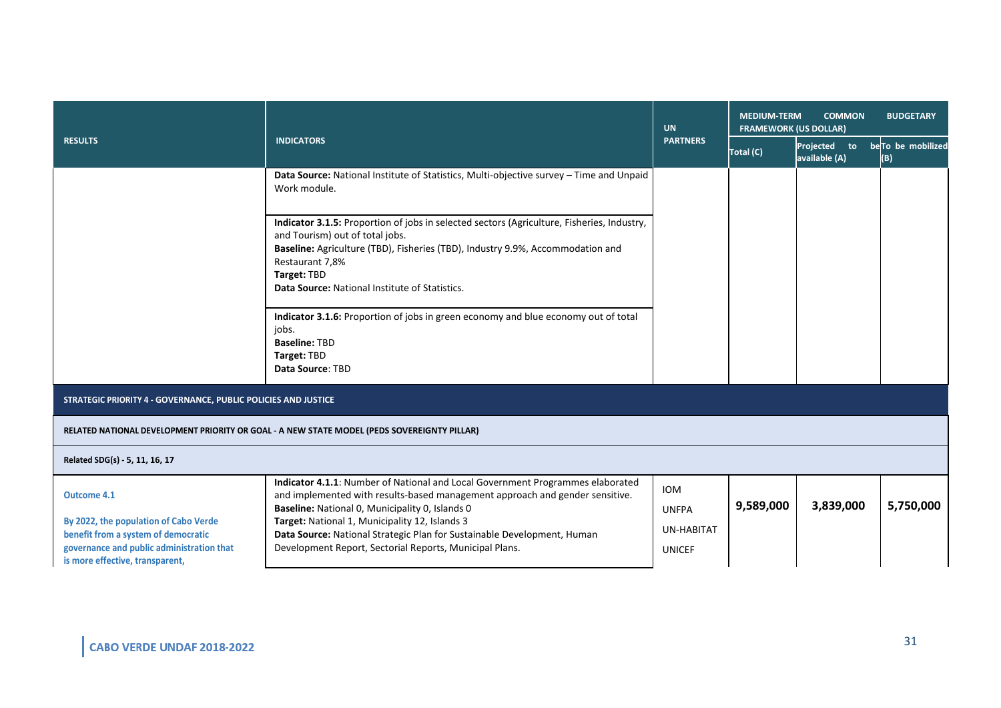| <b>RESULTS</b>                                                                                                                                               | <b>INDICATORS</b>                                                                                                                                                                                                                                                                                   | <b>UN</b><br><b>PARTNERS</b> | <b>MEDIUM-TERM</b><br><b>COMMON</b><br><b>BUDGETARY</b><br><b>FRAMEWORK (US DOLLAR)</b> |                               |                                      |
|--------------------------------------------------------------------------------------------------------------------------------------------------------------|-----------------------------------------------------------------------------------------------------------------------------------------------------------------------------------------------------------------------------------------------------------------------------------------------------|------------------------------|-----------------------------------------------------------------------------------------|-------------------------------|--------------------------------------|
|                                                                                                                                                              |                                                                                                                                                                                                                                                                                                     |                              | Total (C)                                                                               | Projected to<br>available (A) | be <sub>To be</sub> mobilized<br>(B) |
|                                                                                                                                                              | Data Source: National Institute of Statistics, Multi-objective survey - Time and Unpaid<br>Work module.                                                                                                                                                                                             |                              |                                                                                         |                               |                                      |
|                                                                                                                                                              | Indicator 3.1.5: Proportion of jobs in selected sectors (Agriculture, Fisheries, Industry,<br>and Tourism) out of total jobs.<br>Baseline: Agriculture (TBD), Fisheries (TBD), Industry 9.9%, Accommodation and<br>Restaurant 7,8%<br>Target: TBD<br>Data Source: National Institute of Statistics. |                              |                                                                                         |                               |                                      |
|                                                                                                                                                              | Indicator 3.1.6: Proportion of jobs in green economy and blue economy out of total<br>jobs.<br><b>Baseline: TBD</b><br>Target: TBD<br>Data Source: TBD                                                                                                                                              |                              |                                                                                         |                               |                                      |
| STRATEGIC PRIORITY 4 - GOVERNANCE, PUBLIC POLICIES AND JUSTICE                                                                                               |                                                                                                                                                                                                                                                                                                     |                              |                                                                                         |                               |                                      |
| RELATED NATIONAL DEVELOPMENT PRIORITY OR GOAL - A NEW STATE MODEL (PEDS SOVEREIGNTY PILLAR)                                                                  |                                                                                                                                                                                                                                                                                                     |                              |                                                                                         |                               |                                      |
| Related SDG(s) - 5, 11, 16, 17                                                                                                                               |                                                                                                                                                                                                                                                                                                     |                              |                                                                                         |                               |                                      |
| <b>Outcome 4.1</b>                                                                                                                                           | Indicator 4.1.1: Number of National and Local Government Programmes elaborated<br>and implemented with results-based management approach and gender sensitive.<br>Baseline: National O, Municipality O, Islands O                                                                                   | IOM<br><b>UNFPA</b>          | 9,589,000                                                                               | 3,839,000                     | 5,750,000                            |
| By 2022, the population of Cabo Verde<br>benefit from a system of democratic<br>governance and public administration that<br>is more effective, transparent, | Target: National 1, Municipality 12, Islands 3<br>Data Source: National Strategic Plan for Sustainable Development, Human<br>Development Report, Sectorial Reports, Municipal Plans.                                                                                                                | UN-HABITAT<br><b>UNICEF</b>  |                                                                                         |                               |                                      |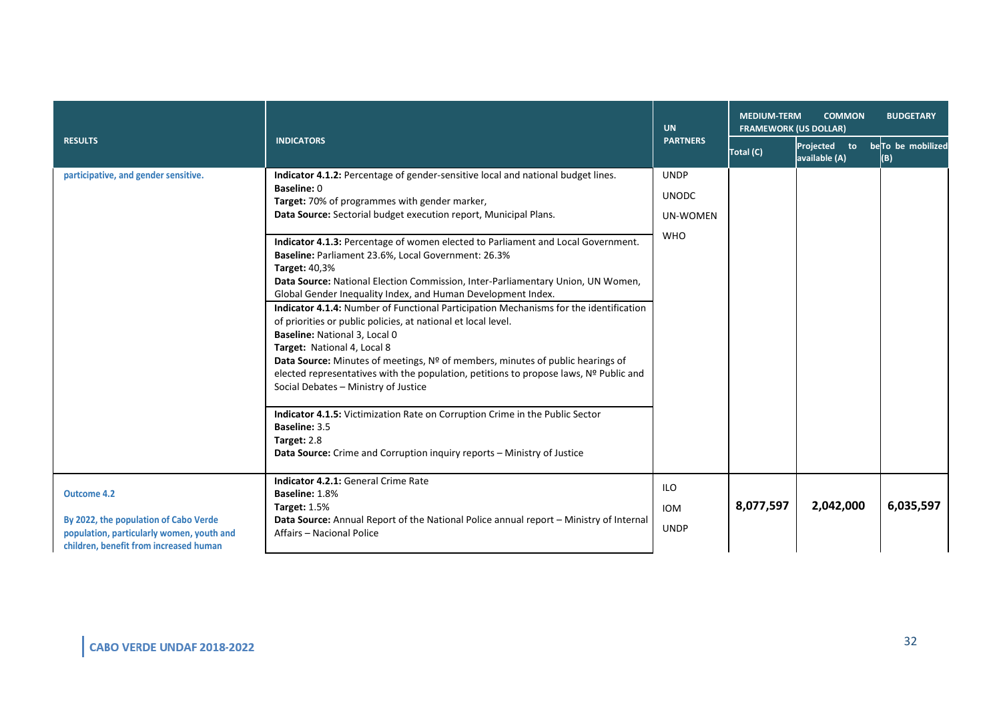| <b>RESULTS</b>                                                                                                                                     | <b>INDICATORS</b>                                                                                                                                                                                                                                                                                                                                                                                                                                                                                                                                                                                                                                                                                                                                                                                                                                                                                                                                                                                                                                                                                                                                                                         | <b>UN</b><br><b>PARTNERS</b>                          | <b>MEDIUM-TERM</b><br><b>COMMON</b><br><b>BUDGETARY</b><br><b>FRAMEWORK (US DOLLAR)</b> |                               |                          |  |
|----------------------------------------------------------------------------------------------------------------------------------------------------|-------------------------------------------------------------------------------------------------------------------------------------------------------------------------------------------------------------------------------------------------------------------------------------------------------------------------------------------------------------------------------------------------------------------------------------------------------------------------------------------------------------------------------------------------------------------------------------------------------------------------------------------------------------------------------------------------------------------------------------------------------------------------------------------------------------------------------------------------------------------------------------------------------------------------------------------------------------------------------------------------------------------------------------------------------------------------------------------------------------------------------------------------------------------------------------------|-------------------------------------------------------|-----------------------------------------------------------------------------------------|-------------------------------|--------------------------|--|
|                                                                                                                                                    |                                                                                                                                                                                                                                                                                                                                                                                                                                                                                                                                                                                                                                                                                                                                                                                                                                                                                                                                                                                                                                                                                                                                                                                           |                                                       | Total (C)                                                                               | Projected to<br>available (A) | beTo be mobilized<br>(B) |  |
| participative, and gender sensitive.                                                                                                               | Indicator 4.1.2: Percentage of gender-sensitive local and national budget lines.<br><b>Baseline: 0</b><br>Target: 70% of programmes with gender marker,<br>Data Source: Sectorial budget execution report, Municipal Plans.<br>Indicator 4.1.3: Percentage of women elected to Parliament and Local Government.<br>Baseline: Parliament 23.6%, Local Government: 26.3%<br><b>Target: 40,3%</b><br>Data Source: National Election Commission, Inter-Parliamentary Union, UN Women,<br>Global Gender Inequality Index, and Human Development Index.<br>Indicator 4.1.4: Number of Functional Participation Mechanisms for the identification<br>of priorities or public policies, at national et local level.<br>Baseline: National 3, Local 0<br>Target: National 4, Local 8<br>Data Source: Minutes of meetings, Nº of members, minutes of public hearings of<br>elected representatives with the population, petitions to propose laws, Nº Public and<br>Social Debates - Ministry of Justice<br>Indicator 4.1.5: Victimization Rate on Corruption Crime in the Public Sector<br>Baseline: 3.5<br>Target: 2.8<br>Data Source: Crime and Corruption inquiry reports - Ministry of Justice | <b>UNDP</b><br><b>UNODC</b><br>UN-WOMEN<br><b>WHO</b> |                                                                                         |                               |                          |  |
| <b>Outcome 4.2</b><br>By 2022, the population of Cabo Verde<br>population, particularly women, youth and<br>children, benefit from increased human | Indicator 4.2.1: General Crime Rate<br>Baseline: 1.8%<br><b>Target: 1.5%</b><br>Data Source: Annual Report of the National Police annual report - Ministry of Internal<br>Affairs - Nacional Police                                                                                                                                                                                                                                                                                                                                                                                                                                                                                                                                                                                                                                                                                                                                                                                                                                                                                                                                                                                       | <b>ILO</b><br><b>IOM</b><br><b>UNDP</b>               | 8,077,597                                                                               | 2,042,000                     | 6,035,597                |  |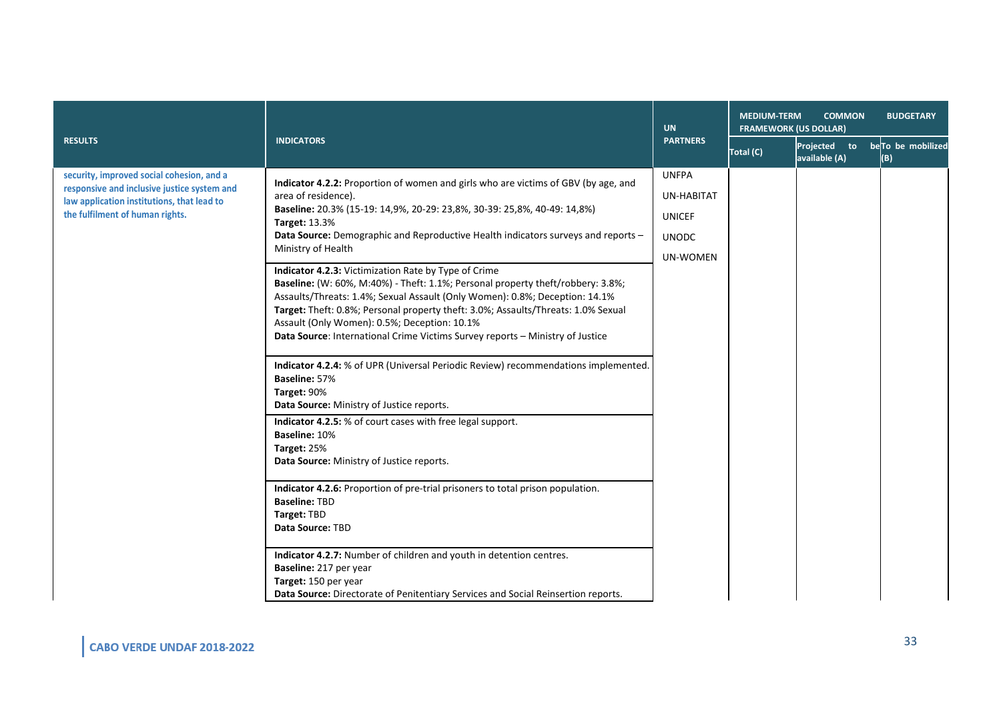| <b>RESULTS</b>                                                                                                                                                            | <b>INDICATORS</b>                                                                                                                                                                                                                                                                                                                                                                                                                                                                                                                                                                                                                                                                                                                                                                                                                                                                                                                                                                                                                                                                                                                                                                                                                                                                                                                                                                                                                                        | <b>UN</b><br><b>PARTNERS</b>                                                   | <b>MEDIUM-TERM</b><br><b>COMMON</b><br><b>BUDGETARY</b><br><b>FRAMEWORK (US DOLLAR)</b> |                                                               |     |  |
|---------------------------------------------------------------------------------------------------------------------------------------------------------------------------|----------------------------------------------------------------------------------------------------------------------------------------------------------------------------------------------------------------------------------------------------------------------------------------------------------------------------------------------------------------------------------------------------------------------------------------------------------------------------------------------------------------------------------------------------------------------------------------------------------------------------------------------------------------------------------------------------------------------------------------------------------------------------------------------------------------------------------------------------------------------------------------------------------------------------------------------------------------------------------------------------------------------------------------------------------------------------------------------------------------------------------------------------------------------------------------------------------------------------------------------------------------------------------------------------------------------------------------------------------------------------------------------------------------------------------------------------------|--------------------------------------------------------------------------------|-----------------------------------------------------------------------------------------|---------------------------------------------------------------|-----|--|
|                                                                                                                                                                           |                                                                                                                                                                                                                                                                                                                                                                                                                                                                                                                                                                                                                                                                                                                                                                                                                                                                                                                                                                                                                                                                                                                                                                                                                                                                                                                                                                                                                                                          |                                                                                | Total (C)                                                                               | Projected to be <mark>To be</mark> mobilized<br>available (A) | (B) |  |
| security, improved social cohesion, and a<br>responsive and inclusive justice system and<br>law application institutions, that lead to<br>the fulfilment of human rights. | Indicator 4.2.2: Proportion of women and girls who are victims of GBV (by age, and<br>area of residence).<br>Baseline: 20.3% (15-19: 14,9%, 20-29: 23,8%, 30-39: 25,8%, 40-49: 14,8%)<br><b>Target: 13.3%</b><br>Data Source: Demographic and Reproductive Health indicators surveys and reports -<br>Ministry of Health<br>Indicator 4.2.3: Victimization Rate by Type of Crime<br>Baseline: (W: 60%, M:40%) - Theft: 1.1%; Personal property theft/robbery: 3.8%;<br>Assaults/Threats: 1.4%; Sexual Assault (Only Women): 0.8%; Deception: 14.1%<br>Target: Theft: 0.8%; Personal property theft: 3.0%; Assaults/Threats: 1.0% Sexual<br>Assault (Only Women): 0.5%; Deception: 10.1%<br>Data Source: International Crime Victims Survey reports - Ministry of Justice<br>Indicator 4.2.4: % of UPR (Universal Periodic Review) recommendations implemented.<br>Baseline: 57%<br>Target: 90%<br>Data Source: Ministry of Justice reports.<br><b>Indicator 4.2.5:</b> % of court cases with free legal support.<br>Baseline: 10%<br>Target: 25%<br>Data Source: Ministry of Justice reports.<br>Indicator 4.2.6: Proportion of pre-trial prisoners to total prison population.<br><b>Baseline: TBD</b><br>Target: TBD<br>Data Source: TBD<br>Indicator 4.2.7: Number of children and youth in detention centres.<br>Baseline: 217 per year<br>Target: 150 per year<br>Data Source: Directorate of Penitentiary Services and Social Reinsertion reports. | <b>UNFPA</b><br>UN-HABITAT<br><b>UNICEF</b><br><b>UNODC</b><br><b>UN-WOMEN</b> |                                                                                         |                                                               |     |  |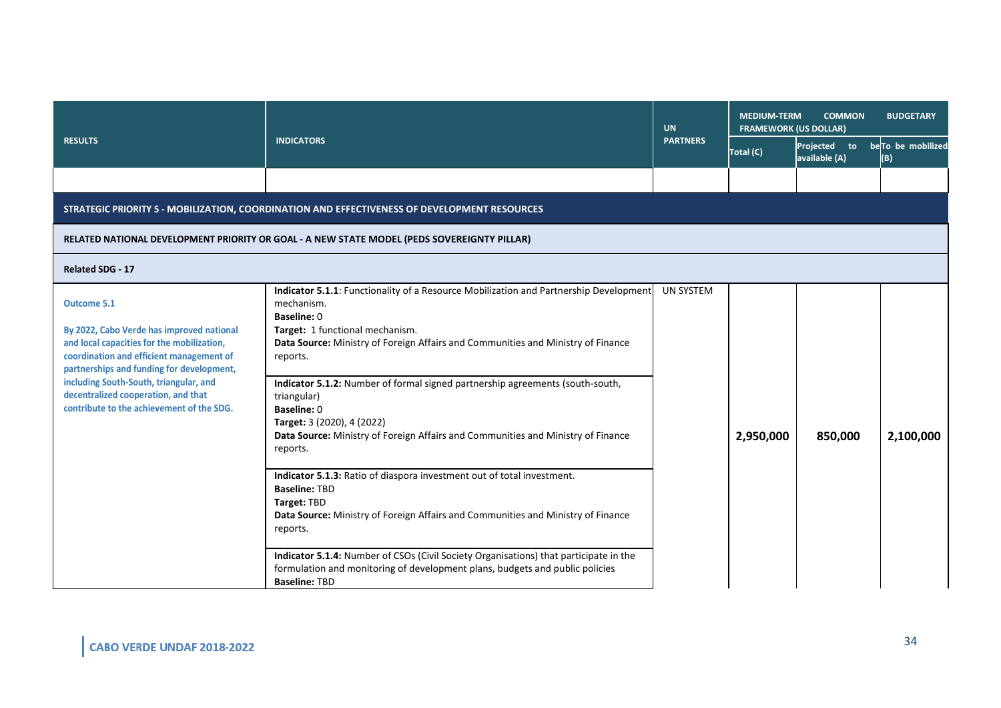| <b>INDICATORS</b>                                                                                                                                                                                                                                                                                                                                                                                                                                                                                                                                                                                                                                                                                                   | <b>UN</b>                                                                                                                                                                                     | <b>MEDIUM-TERM</b><br><b>COMMON</b><br><b>BUDGETARY</b><br><b>FRAMEWORK (US DOLLAR)</b> |               |                                       |
|---------------------------------------------------------------------------------------------------------------------------------------------------------------------------------------------------------------------------------------------------------------------------------------------------------------------------------------------------------------------------------------------------------------------------------------------------------------------------------------------------------------------------------------------------------------------------------------------------------------------------------------------------------------------------------------------------------------------|-----------------------------------------------------------------------------------------------------------------------------------------------------------------------------------------------|-----------------------------------------------------------------------------------------|---------------|---------------------------------------|
|                                                                                                                                                                                                                                                                                                                                                                                                                                                                                                                                                                                                                                                                                                                     |                                                                                                                                                                                               | Total (C)                                                                               | available (A) | Projected to beTo be mobilized<br>(B) |
|                                                                                                                                                                                                                                                                                                                                                                                                                                                                                                                                                                                                                                                                                                                     |                                                                                                                                                                                               |                                                                                         |               |                                       |
| STRATEGIC PRIORITY 5 - MOBILIZATION, COORDINATION AND EFFECTIVENESS OF DEVELOPMENT RESOURCES                                                                                                                                                                                                                                                                                                                                                                                                                                                                                                                                                                                                                        |                                                                                                                                                                                               |                                                                                         |               |                                       |
| RELATED NATIONAL DEVELOPMENT PRIORITY OR GOAL - A NEW STATE MODEL (PEDS SOVEREIGNTY PILLAR)                                                                                                                                                                                                                                                                                                                                                                                                                                                                                                                                                                                                                         |                                                                                                                                                                                               |                                                                                         |               |                                       |
|                                                                                                                                                                                                                                                                                                                                                                                                                                                                                                                                                                                                                                                                                                                     |                                                                                                                                                                                               |                                                                                         |               |                                       |
| mechanism.<br>Baseline: 0<br>Target: 1 functional mechanism.<br>Data Source: Ministry of Foreign Affairs and Communities and Ministry of Finance<br>reports.<br>Indicator 5.1.2: Number of formal signed partnership agreements (south-south,<br>triangular)<br>Baseline: 0<br>Target: 3 (2020), 4 (2022)<br>Data Source: Ministry of Foreign Affairs and Communities and Ministry of Finance<br>reports.<br>Indicator 5.1.3: Ratio of diaspora investment out of total investment.<br><b>Baseline: TBD</b><br>Target: TBD<br>Data Source: Ministry of Foreign Affairs and Communities and Ministry of Finance<br>reports.<br>Indicator 5.1.4: Number of CSOs (Civil Society Organisations) that participate in the |                                                                                                                                                                                               | 2,950,000                                                                               | 850,000       | 2,100,000                             |
|                                                                                                                                                                                                                                                                                                                                                                                                                                                                                                                                                                                                                                                                                                                     | Indicator 5.1.1: Functionality of a Resource Mobilization and Partnership Development<br>formulation and monitoring of development plans, budgets and public policies<br><b>Baseline: TBD</b> | <b>PARTNERS</b><br><b>UN SYSTEM</b>                                                     |               |                                       |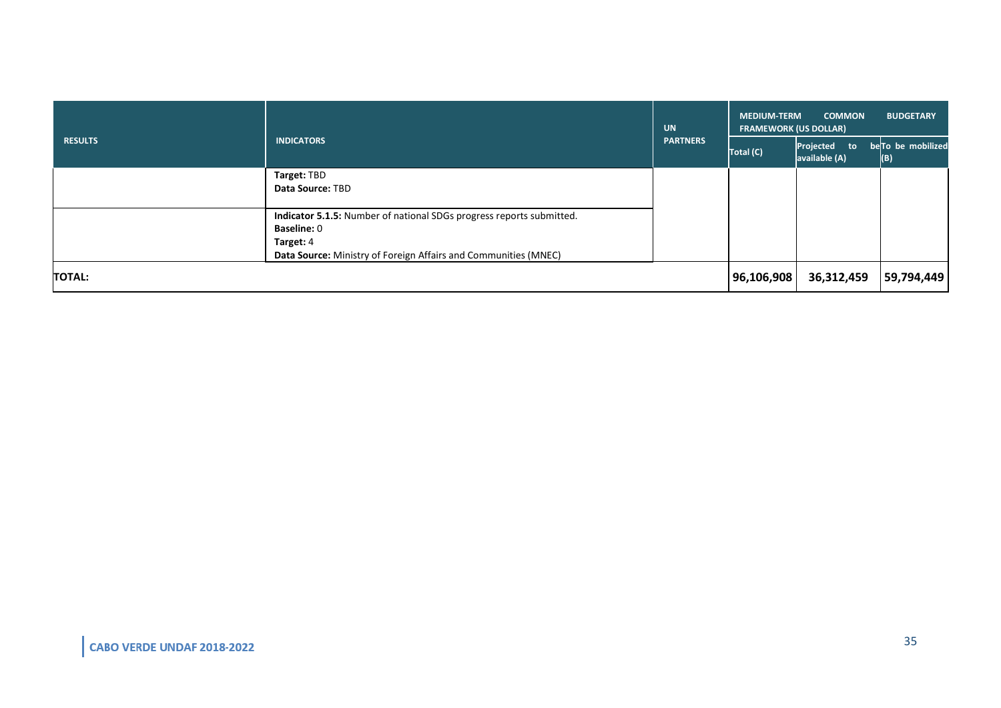| <b>RESULTS</b> | <b>INDICATORS</b>                                                                                                                                                          | <b>UN</b><br><b>PARTNERS</b> | <b>COMMON</b><br><b>BUDGETARY</b><br><b>MEDIUM-TERM</b><br><b>FRAMEWORK (US DOLLAR)</b> |                                                 |                          |  |
|----------------|----------------------------------------------------------------------------------------------------------------------------------------------------------------------------|------------------------------|-----------------------------------------------------------------------------------------|-------------------------------------------------|--------------------------|--|
|                |                                                                                                                                                                            |                              | Total (C)                                                                               | Projected<br>$\blacksquare$ to<br>available (A) | beTo be mobilized<br>(B) |  |
|                | Target: TBD<br>Data Source: TBD                                                                                                                                            |                              |                                                                                         |                                                 |                          |  |
|                | Indicator 5.1.5: Number of national SDGs progress reports submitted.<br><b>Baseline: 0</b><br>Target: 4<br>Data Source: Ministry of Foreign Affairs and Communities (MNEC) |                              |                                                                                         |                                                 |                          |  |
| <b>TOTAL:</b>  |                                                                                                                                                                            |                              | 96,106,908                                                                              | 36,312,459                                      | 59,794,449               |  |